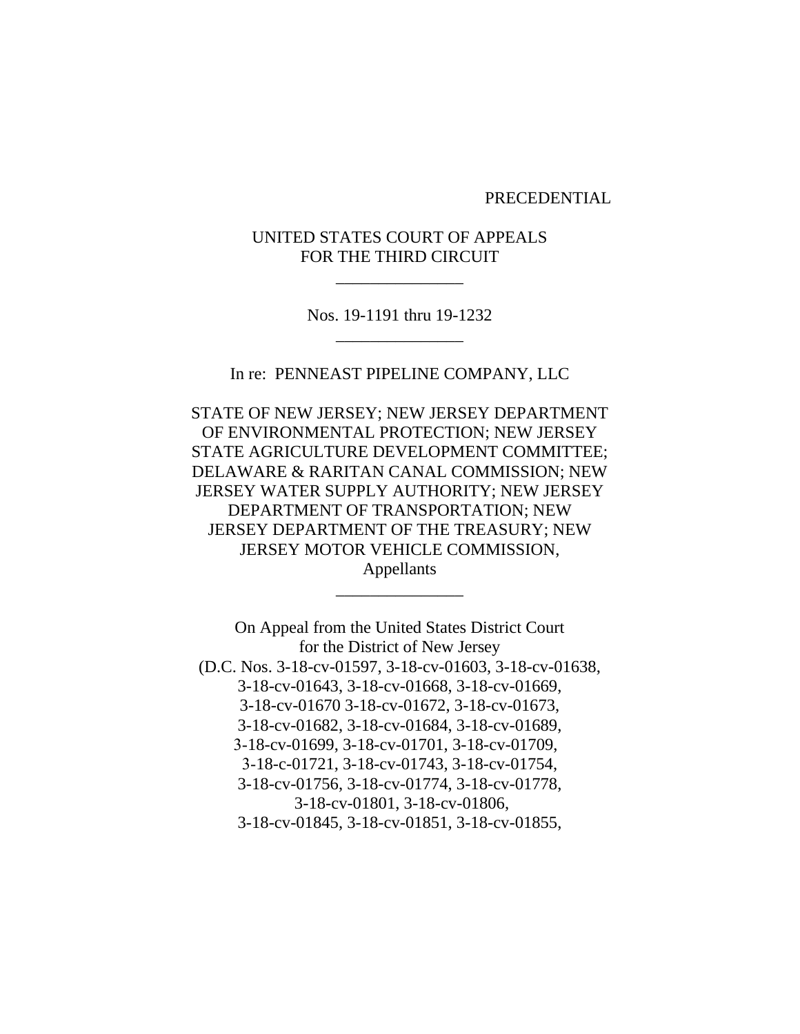PRECEDENTIAL

UNITED STATES COURT OF APPEALS FOR THE THIRD CIRCUIT

\_\_\_\_\_\_\_\_\_\_\_\_\_\_\_

Nos. 19-1191 thru 19-1232 \_\_\_\_\_\_\_\_\_\_\_\_\_\_\_

In re: PENNEAST PIPELINE COMPANY, LLC

STATE OF NEW JERSEY; NEW JERSEY DEPARTMENT OF ENVIRONMENTAL PROTECTION; NEW JERSEY STATE AGRICULTURE DEVELOPMENT COMMITTEE; DELAWARE & RARITAN CANAL COMMISSION; NEW JERSEY WATER SUPPLY AUTHORITY; NEW JERSEY DEPARTMENT OF TRANSPORTATION; NEW JERSEY DEPARTMENT OF THE TREASURY; NEW JERSEY MOTOR VEHICLE COMMISSION, Appellants

\_\_\_\_\_\_\_\_\_\_\_\_\_\_\_

On Appeal from the United States District Court for the District of New Jersey (D.C. Nos. 3-18-cv-01597, 3-18-cv-01603, 3-18-cv-01638, 3-18-cv-01643, 3-18-cv-01668, 3-18-cv-01669, 3-18-cv-01670 3-18-cv-01672, 3-18-cv-01673, 3-18-cv-01682, 3-18-cv-01684, 3-18-cv-01689, 3-18-cv-01699, 3-18-cv-01701, 3-18-cv-01709, 3-18-c-01721, 3-18-cv-01743, 3-18-cv-01754, 3-18-cv-01756, 3-18-cv-01774, 3-18-cv-01778, 3-18-cv-01801, 3-18-cv-01806, 3-18-cv-01845, 3-18-cv-01851, 3-18-cv-01855,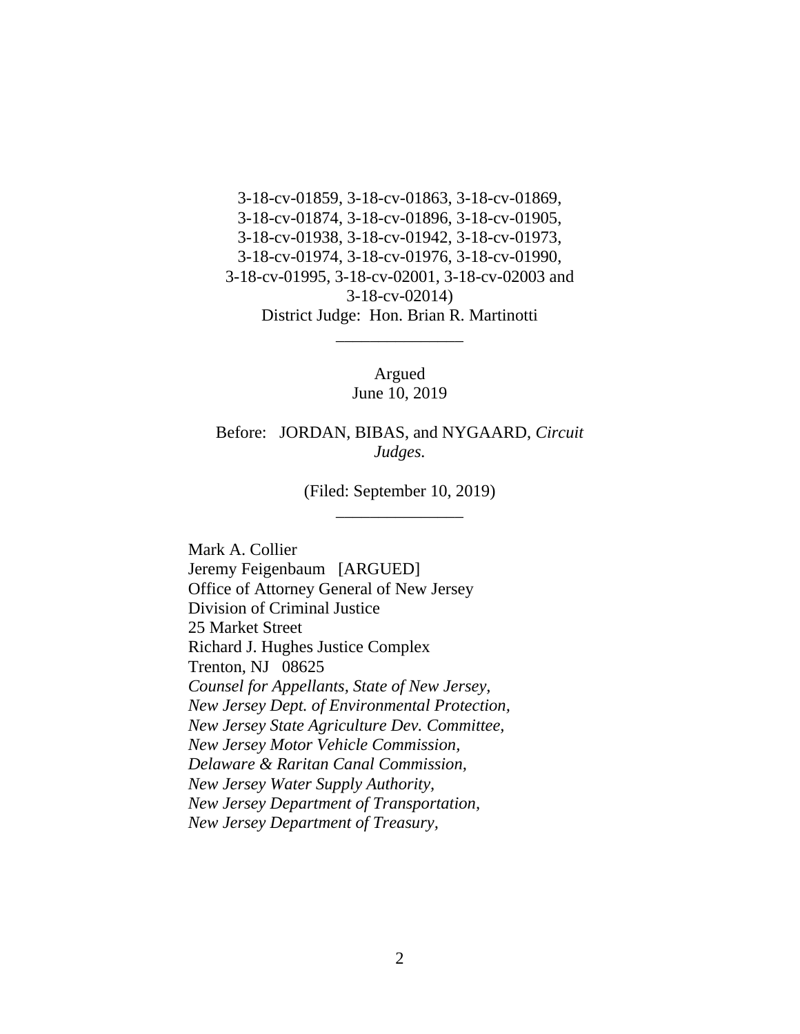3-18-cv-01859, 3-18-cv-01863, 3-18-cv-01869, 3-18-cv-01874, 3-18-cv-01896, 3-18-cv-01905, 3-18-cv-01938, 3-18-cv-01942, 3-18-cv-01973, 3-18-cv-01974, 3-18-cv-01976, 3-18-cv-01990, 3-18-cv-01995, 3-18-cv-02001, 3-18-cv-02003 and 3-18-cv-02014) District Judge: Hon. Brian R. Martinotti

> Argued June 10, 2019

\_\_\_\_\_\_\_\_\_\_\_\_\_\_\_

Before: JORDAN, BIBAS, and NYGAARD, *Circuit Judges.*

> (Filed: September 10, 2019) \_\_\_\_\_\_\_\_\_\_\_\_\_\_\_

Mark A. Collier Jeremy Feigenbaum [ARGUED] Office of Attorney General of New Jersey Division of Criminal Justice 25 Market Street Richard J. Hughes Justice Complex Trenton, NJ 08625 *Counsel for Appellants, State of New Jersey, New Jersey Dept. of Environmental Protection, New Jersey State Agriculture Dev. Committee, New Jersey Motor Vehicle Commission, Delaware & Raritan Canal Commission, New Jersey Water Supply Authority, New Jersey Department of Transportation, New Jersey Department of Treasury,*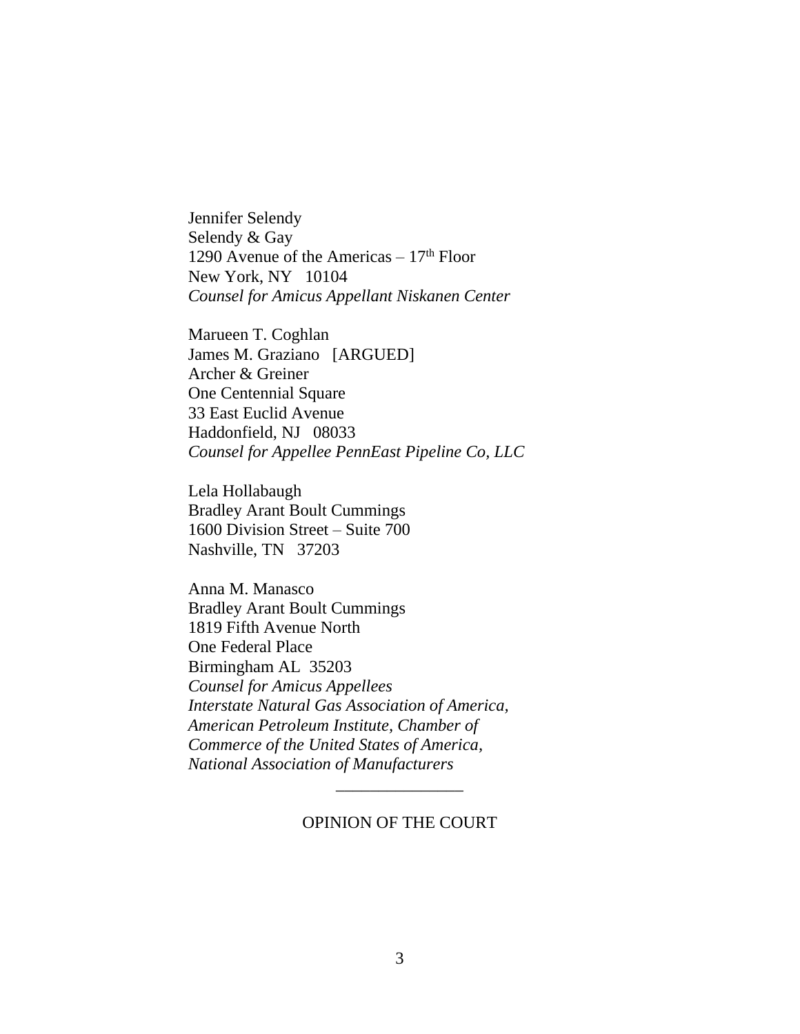Jennifer Selendy Selendy & Gay 1290 Avenue of the Americas  $-17<sup>th</sup>$  Floor New York, NY 10104 *Counsel for Amicus Appellant Niskanen Center*

Marueen T. Coghlan James M. Graziano [ARGUED] Archer & Greiner One Centennial Square 33 East Euclid Avenue Haddonfield, NJ 08033 *Counsel for Appellee PennEast Pipeline Co, LLC*

Lela Hollabaugh Bradley Arant Boult Cummings 1600 Division Street – Suite 700 Nashville, TN 37203

Anna M. Manasco Bradley Arant Boult Cummings 1819 Fifth Avenue North One Federal Place Birmingham AL 35203 *Counsel for Amicus Appellees Interstate Natural Gas Association of America, American Petroleum Institute, Chamber of Commerce of the United States of America, National Association of Manufacturers*

#### OPINION OF THE COURT

\_\_\_\_\_\_\_\_\_\_\_\_\_\_\_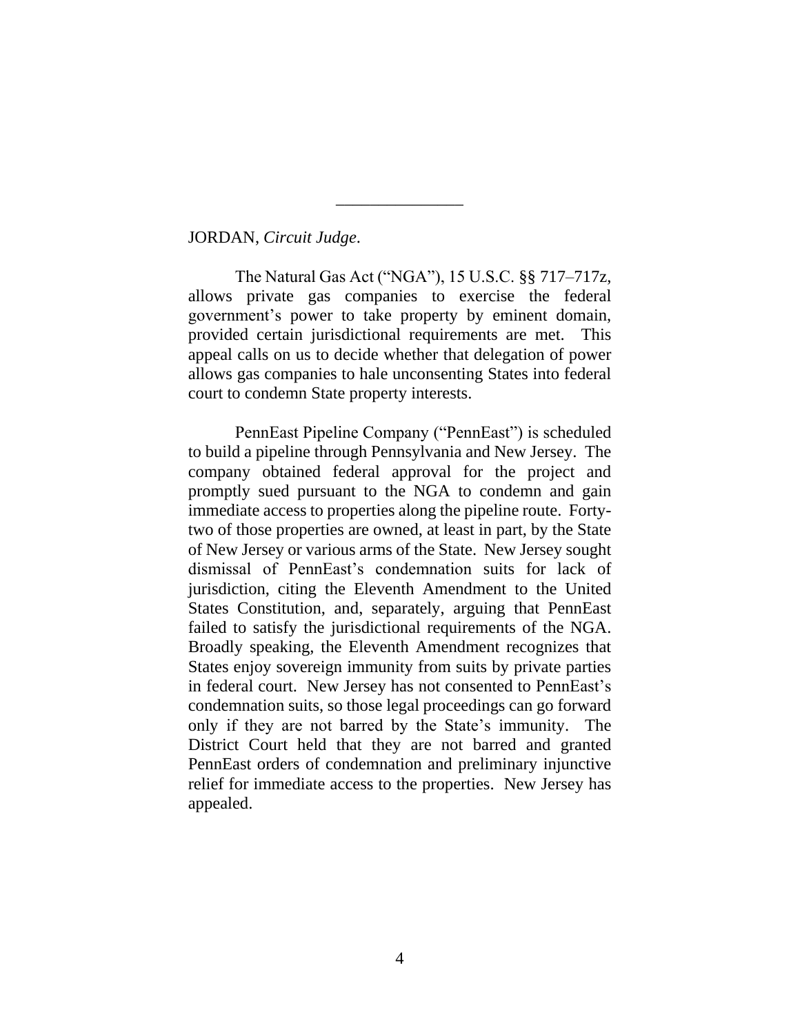JORDAN, *Circuit Judge*.

The Natural Gas Act ("NGA"), 15 U.S.C. §§ 717–717z, allows private gas companies to exercise the federal government's power to take property by eminent domain, provided certain jurisdictional requirements are met. This appeal calls on us to decide whether that delegation of power allows gas companies to hale unconsenting States into federal court to condemn State property interests.

\_\_\_\_\_\_\_\_\_\_\_\_\_\_\_

PennEast Pipeline Company ("PennEast") is scheduled to build a pipeline through Pennsylvania and New Jersey. The company obtained federal approval for the project and promptly sued pursuant to the NGA to condemn and gain immediate access to properties along the pipeline route. Fortytwo of those properties are owned, at least in part, by the State of New Jersey or various arms of the State. New Jersey sought dismissal of PennEast's condemnation suits for lack of jurisdiction, citing the Eleventh Amendment to the United States Constitution, and, separately, arguing that PennEast failed to satisfy the jurisdictional requirements of the NGA. Broadly speaking, the Eleventh Amendment recognizes that States enjoy sovereign immunity from suits by private parties in federal court. New Jersey has not consented to PennEast's condemnation suits, so those legal proceedings can go forward only if they are not barred by the State's immunity. The District Court held that they are not barred and granted PennEast orders of condemnation and preliminary injunctive relief for immediate access to the properties. New Jersey has appealed.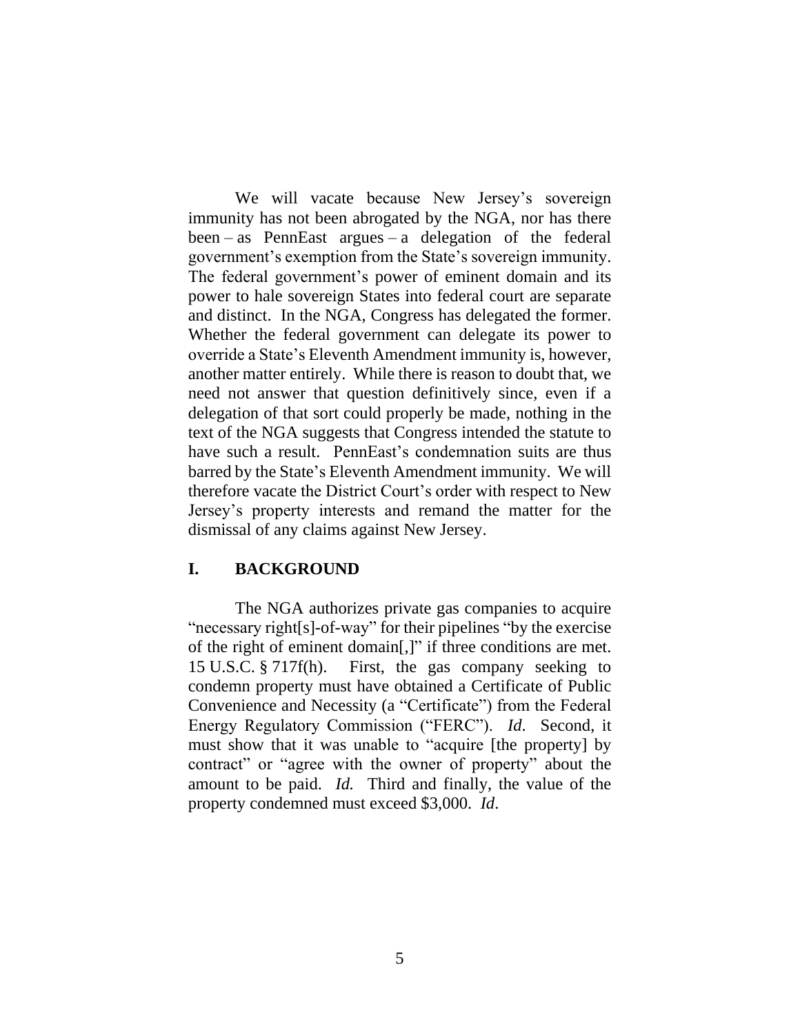We will vacate because New Jersey's sovereign immunity has not been abrogated by the NGA, nor has there been – as PennEast argues – a delegation of the federal government's exemption from the State's sovereign immunity. The federal government's power of eminent domain and its power to hale sovereign States into federal court are separate and distinct. In the NGA, Congress has delegated the former. Whether the federal government can delegate its power to override a State's Eleventh Amendment immunity is, however, another matter entirely. While there is reason to doubt that, we need not answer that question definitively since, even if a delegation of that sort could properly be made, nothing in the text of the NGA suggests that Congress intended the statute to have such a result. PennEast's condemnation suits are thus barred by the State's Eleventh Amendment immunity. We will therefore vacate the District Court's order with respect to New Jersey's property interests and remand the matter for the dismissal of any claims against New Jersey.

# **I. BACKGROUND**

The NGA authorizes private gas companies to acquire "necessary right[s]-of-way" for their pipelines "by the exercise of the right of eminent domain[,]" if three conditions are met. 15 U.S.C. § 717f(h). First, the gas company seeking to condemn property must have obtained a Certificate of Public Convenience and Necessity (a "Certificate") from the Federal Energy Regulatory Commission ("FERC"). *Id*. Second, it must show that it was unable to "acquire [the property] by contract" or "agree with the owner of property" about the amount to be paid. *Id.* Third and finally, the value of the property condemned must exceed \$3,000. *Id*.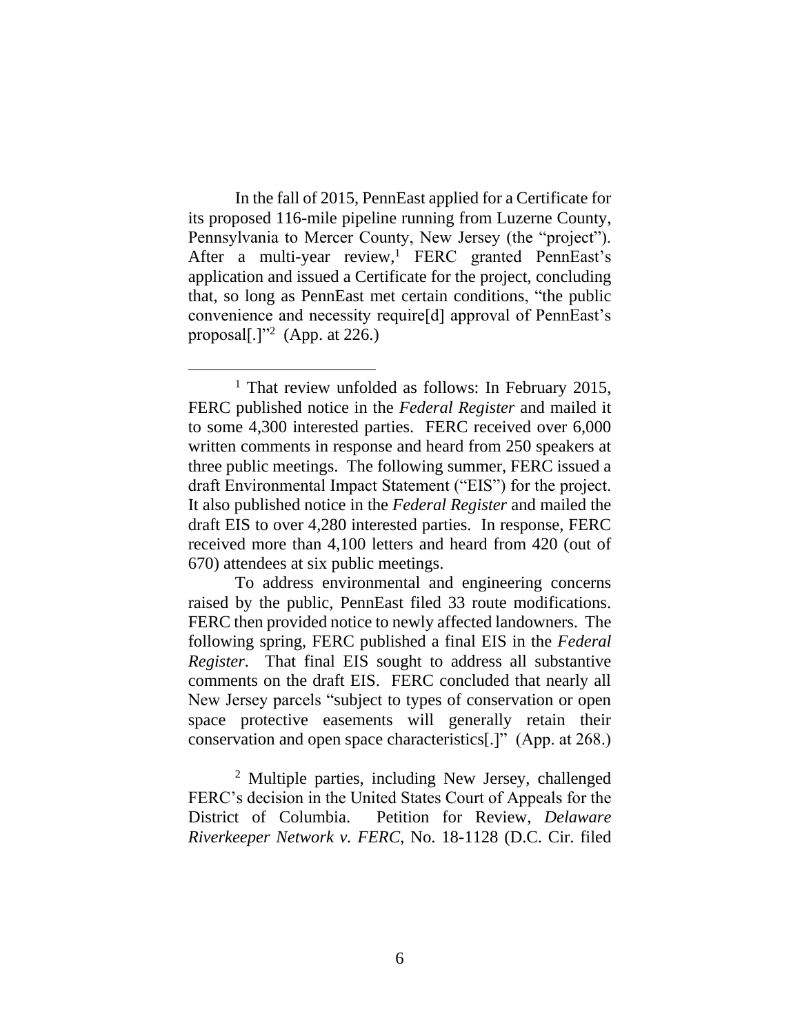In the fall of 2015, PennEast applied for a Certificate for its proposed 116-mile pipeline running from Luzerne County, Pennsylvania to Mercer County, New Jersey (the "project"). After a multi-year review, <sup>1</sup> FERC granted PennEast's application and issued a Certificate for the project, concluding that, so long as PennEast met certain conditions, "the public convenience and necessity require[d] approval of PennEast's proposal[ $.]$ "<sup>2</sup> (App. at 226.)

 $\overline{a}$ 

<sup>2</sup> Multiple parties, including New Jersey, challenged FERC's decision in the United States Court of Appeals for the District of Columbia. Petition for Review, *Delaware Riverkeeper Network v. FERC*, No. 18-1128 (D.C. Cir. filed

<sup>&</sup>lt;sup>1</sup> That review unfolded as follows: In February 2015, FERC published notice in the *Federal Register* and mailed it to some 4,300 interested parties. FERC received over 6,000 written comments in response and heard from 250 speakers at three public meetings. The following summer, FERC issued a draft Environmental Impact Statement ("EIS") for the project. It also published notice in the *Federal Register* and mailed the draft EIS to over 4,280 interested parties. In response, FERC received more than 4,100 letters and heard from 420 (out of 670) attendees at six public meetings.

To address environmental and engineering concerns raised by the public, PennEast filed 33 route modifications. FERC then provided notice to newly affected landowners. The following spring, FERC published a final EIS in the *Federal Register*. That final EIS sought to address all substantive comments on the draft EIS. FERC concluded that nearly all New Jersey parcels "subject to types of conservation or open space protective easements will generally retain their conservation and open space characteristics[.]" (App. at 268.)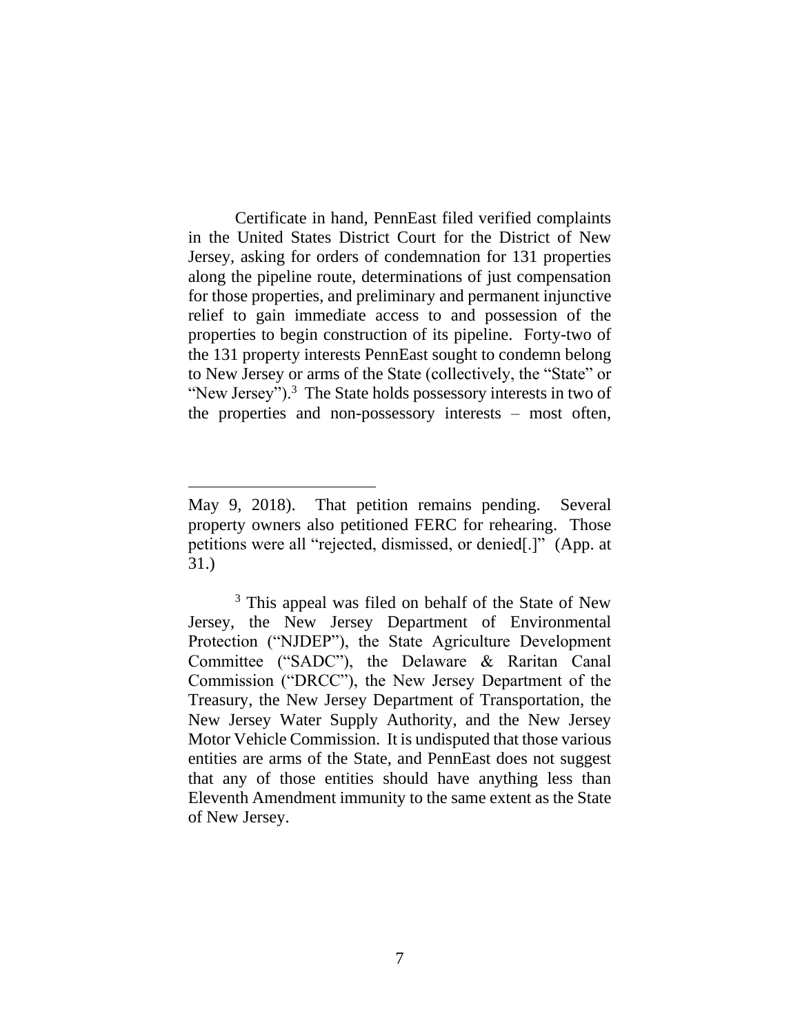Certificate in hand, PennEast filed verified complaints in the United States District Court for the District of New Jersey, asking for orders of condemnation for 131 properties along the pipeline route, determinations of just compensation for those properties, and preliminary and permanent injunctive relief to gain immediate access to and possession of the properties to begin construction of its pipeline. Forty-two of the 131 property interests PennEast sought to condemn belong to New Jersey or arms of the State (collectively, the "State" or "New Jersey").<sup>3</sup> The State holds possessory interests in two of the properties and non-possessory interests – most often,

May 9, 2018). That petition remains pending. Several property owners also petitioned FERC for rehearing. Those petitions were all "rejected, dismissed, or denied[.]" (App. at 31.)

<sup>&</sup>lt;sup>3</sup> This appeal was filed on behalf of the State of New Jersey, the New Jersey Department of Environmental Protection ("NJDEP"), the State Agriculture Development Committee ("SADC"), the Delaware & Raritan Canal Commission ("DRCC"), the New Jersey Department of the Treasury, the New Jersey Department of Transportation, the New Jersey Water Supply Authority, and the New Jersey Motor Vehicle Commission. It is undisputed that those various entities are arms of the State, and PennEast does not suggest that any of those entities should have anything less than Eleventh Amendment immunity to the same extent as the State of New Jersey.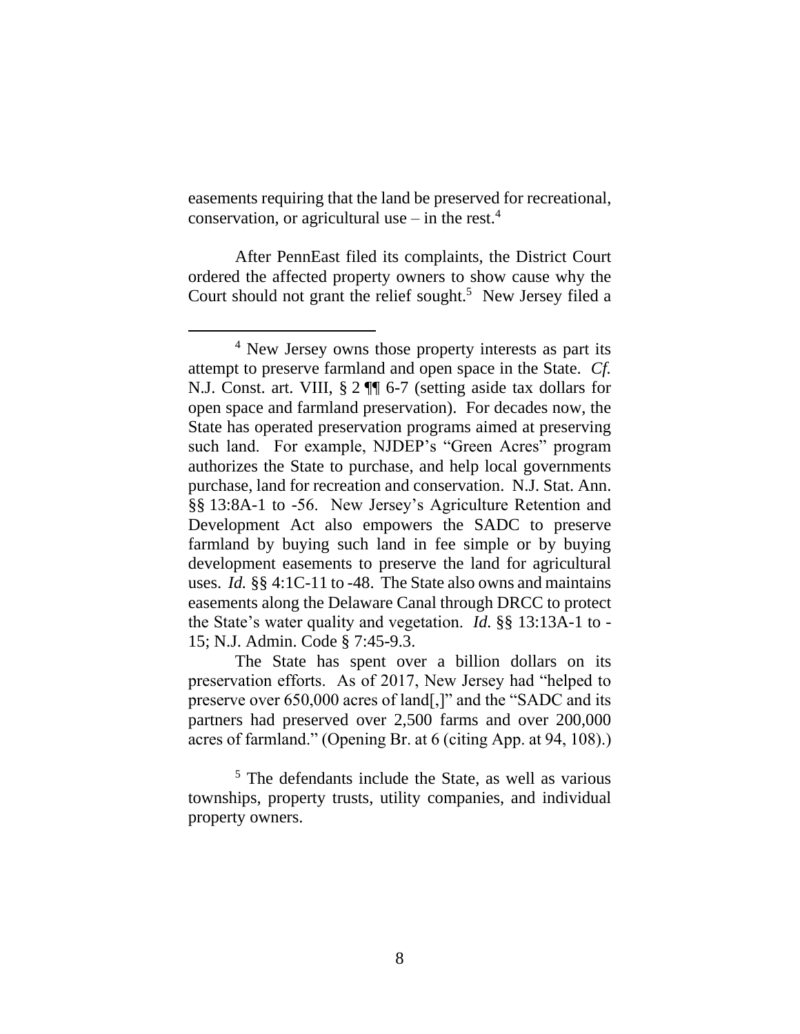easements requiring that the land be preserved for recreational, conservation, or agricultural use – in the rest.<sup>4</sup>

After PennEast filed its complaints, the District Court ordered the affected property owners to show cause why the Court should not grant the relief sought.<sup>5</sup> New Jersey filed a

 $\overline{a}$ 

The State has spent over a billion dollars on its preservation efforts. As of 2017, New Jersey had "helped to preserve over 650,000 acres of land[,]" and the "SADC and its partners had preserved over 2,500 farms and over 200,000 acres of farmland." (Opening Br. at 6 (citing App. at 94, 108).)

<sup>5</sup> The defendants include the State, as well as various townships, property trusts, utility companies, and individual property owners.

<sup>&</sup>lt;sup>4</sup> New Jersey owns those property interests as part its attempt to preserve farmland and open space in the State. *Cf.* N.J. Const. art. VIII, § 2 ¶¶ 6-7 (setting aside tax dollars for open space and farmland preservation). For decades now, the State has operated preservation programs aimed at preserving such land. For example, NJDEP's "Green Acres" program authorizes the State to purchase, and help local governments purchase, land for recreation and conservation. N.J. Stat. Ann. §§ 13:8A-1 to -56. New Jersey's Agriculture Retention and Development Act also empowers the SADC to preserve farmland by buying such land in fee simple or by buying development easements to preserve the land for agricultural uses. *Id.* §§ 4:1C-11 to -48. The State also owns and maintains easements along the Delaware Canal through DRCC to protect the State's water quality and vegetation. *Id.* §§ 13:13A-1 to - 15; N.J. Admin. Code § 7:45-9.3.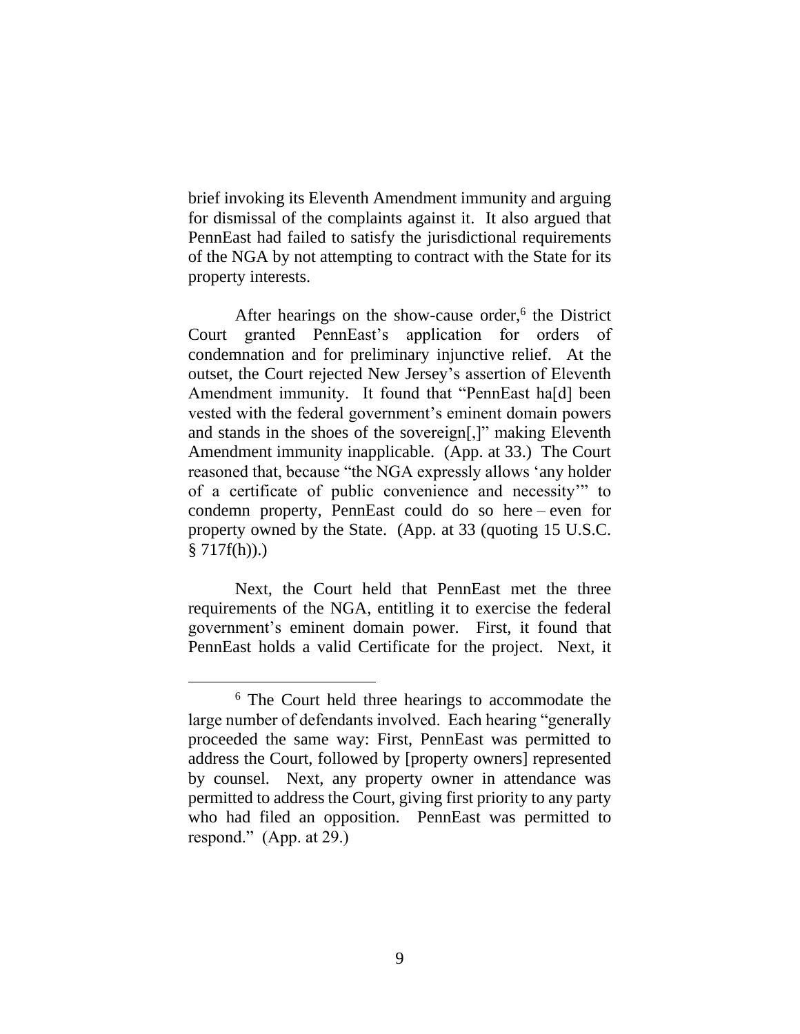brief invoking its Eleventh Amendment immunity and arguing for dismissal of the complaints against it. It also argued that PennEast had failed to satisfy the jurisdictional requirements of the NGA by not attempting to contract with the State for its property interests.

After hearings on the show-cause order,<sup>6</sup> the District Court granted PennEast's application for orders of condemnation and for preliminary injunctive relief. At the outset, the Court rejected New Jersey's assertion of Eleventh Amendment immunity. It found that "PennEast ha[d] been vested with the federal government's eminent domain powers and stands in the shoes of the sovereign[,]" making Eleventh Amendment immunity inapplicable. (App. at 33.) The Court reasoned that, because "the NGA expressly allows 'any holder of a certificate of public convenience and necessity'" to condemn property, PennEast could do so here – even for property owned by the State. (App. at 33 (quoting 15 U.S.C.  $§ 717f(h)).$ 

Next, the Court held that PennEast met the three requirements of the NGA, entitling it to exercise the federal government's eminent domain power. First, it found that PennEast holds a valid Certificate for the project. Next, it

<sup>6</sup> The Court held three hearings to accommodate the large number of defendants involved. Each hearing "generally proceeded the same way: First, PennEast was permitted to address the Court, followed by [property owners] represented by counsel. Next, any property owner in attendance was permitted to address the Court, giving first priority to any party who had filed an opposition. PennEast was permitted to respond." (App. at 29.)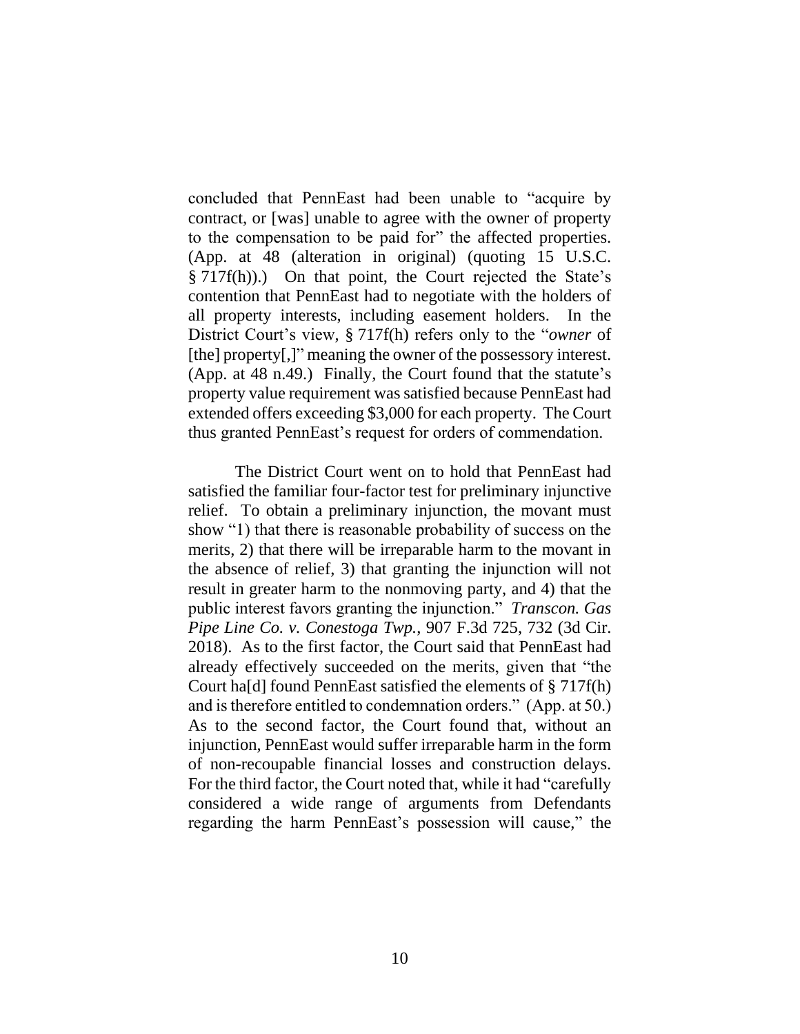concluded that PennEast had been unable to "acquire by contract, or [was] unable to agree with the owner of property to the compensation to be paid for" the affected properties. (App. at 48 (alteration in original) (quoting 15 U.S.C. § 717f(h)).) On that point, the Court rejected the State's contention that PennEast had to negotiate with the holders of all property interests, including easement holders. In the District Court's view, § 717f(h) refers only to the "*owner* of [the] property[,]" meaning the owner of the possessory interest. (App. at 48 n.49.) Finally, the Court found that the statute's property value requirement was satisfied because PennEast had extended offers exceeding \$3,000 for each property. The Court thus granted PennEast's request for orders of commendation.

The District Court went on to hold that PennEast had satisfied the familiar four-factor test for preliminary injunctive relief. To obtain a preliminary injunction, the movant must show "1) that there is reasonable probability of success on the merits, 2) that there will be irreparable harm to the movant in the absence of relief, 3) that granting the injunction will not result in greater harm to the nonmoving party, and 4) that the public interest favors granting the injunction." *Transcon. Gas Pipe Line Co. v. Conestoga Twp.*, 907 F.3d 725, 732 (3d Cir. 2018). As to the first factor, the Court said that PennEast had already effectively succeeded on the merits, given that "the Court ha[d] found PennEast satisfied the elements of § 717f(h) and is therefore entitled to condemnation orders." (App. at 50.) As to the second factor, the Court found that, without an injunction, PennEast would suffer irreparable harm in the form of non-recoupable financial losses and construction delays. For the third factor, the Court noted that, while it had "carefully considered a wide range of arguments from Defendants regarding the harm PennEast's possession will cause," the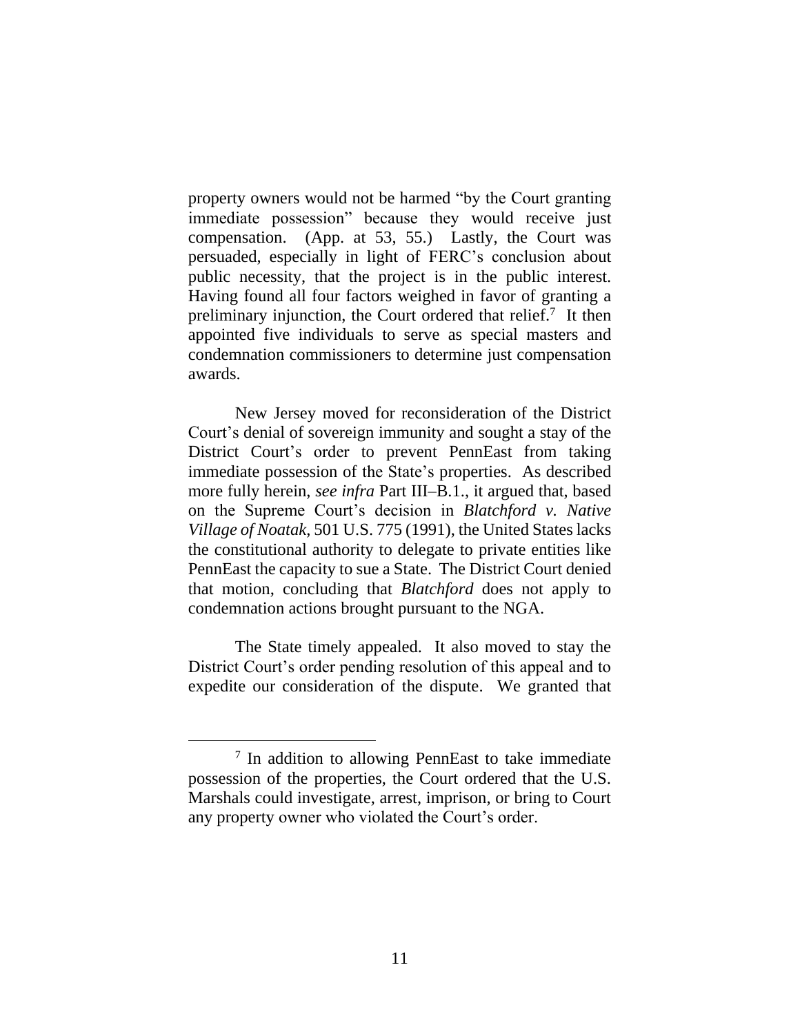property owners would not be harmed "by the Court granting immediate possession" because they would receive just compensation. (App. at 53, 55.) Lastly, the Court was persuaded, especially in light of FERC's conclusion about public necessity, that the project is in the public interest. Having found all four factors weighed in favor of granting a preliminary injunction, the Court ordered that relief.<sup>7</sup> It then appointed five individuals to serve as special masters and condemnation commissioners to determine just compensation awards.

New Jersey moved for reconsideration of the District Court's denial of sovereign immunity and sought a stay of the District Court's order to prevent PennEast from taking immediate possession of the State's properties. As described more fully herein, *see infra* Part III–B.1., it argued that, based on the Supreme Court's decision in *Blatchford v. Native Village of Noatak*, 501 U.S. 775 (1991), the United States lacks the constitutional authority to delegate to private entities like PennEast the capacity to sue a State. The District Court denied that motion, concluding that *Blatchford* does not apply to condemnation actions brought pursuant to the NGA.

The State timely appealed. It also moved to stay the District Court's order pending resolution of this appeal and to expedite our consideration of the dispute. We granted that

<sup>&</sup>lt;sup>7</sup> In addition to allowing PennEast to take immediate possession of the properties, the Court ordered that the U.S. Marshals could investigate, arrest, imprison, or bring to Court any property owner who violated the Court's order.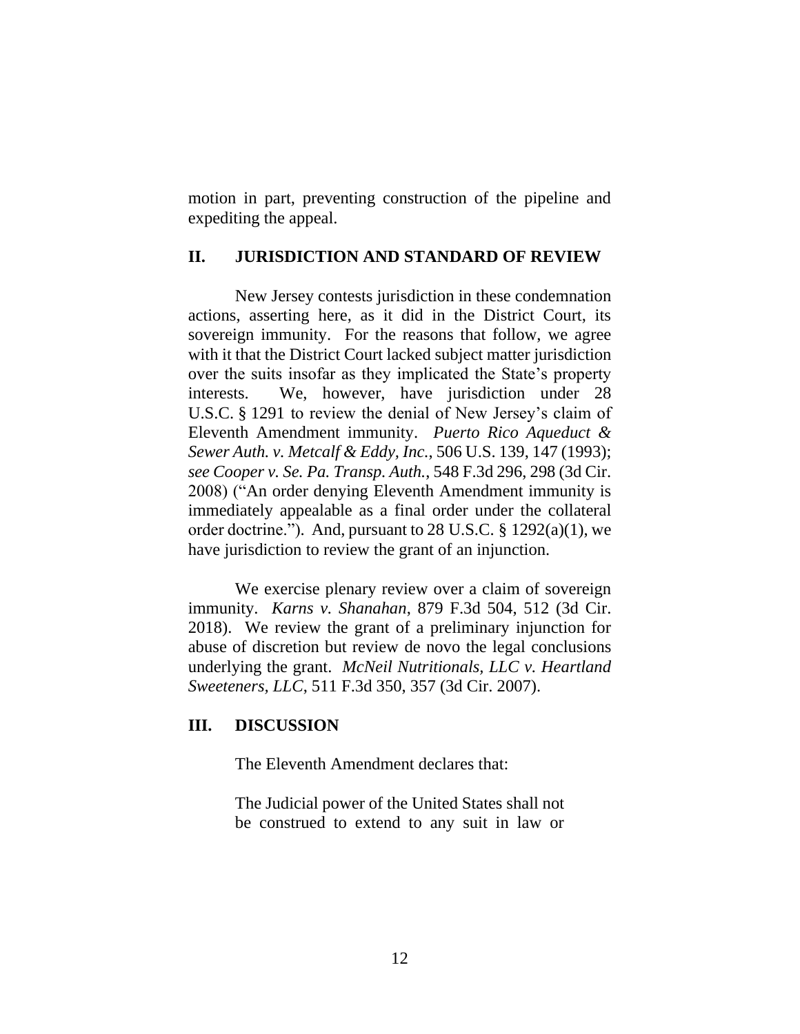motion in part, preventing construction of the pipeline and expediting the appeal.

# **II. JURISDICTION AND STANDARD OF REVIEW**

New Jersey contests jurisdiction in these condemnation actions, asserting here, as it did in the District Court, its sovereign immunity. For the reasons that follow, we agree with it that the District Court lacked subject matter jurisdiction over the suits insofar as they implicated the State's property interests. We, however, have jurisdiction under 28 U.S.C. § 1291 to review the denial of New Jersey's claim of Eleventh Amendment immunity. *Puerto Rico Aqueduct & Sewer Auth. v. Metcalf & Eddy, Inc.*, 506 U.S. 139, 147 (1993); *see Cooper v. Se. Pa. Transp. Auth.*, 548 F.3d 296, 298 (3d Cir. 2008) ("An order denying Eleventh Amendment immunity is immediately appealable as a final order under the collateral order doctrine."). And, pursuant to 28 U.S.C. § 1292(a)(1), we have jurisdiction to review the grant of an injunction.

We exercise plenary review over a claim of sovereign immunity. *Karns v. Shanahan*, 879 F.3d 504, 512 (3d Cir. 2018). We review the grant of a preliminary injunction for abuse of discretion but review de novo the legal conclusions underlying the grant. *McNeil Nutritionals, LLC v. Heartland Sweeteners, LLC*, 511 F.3d 350, 357 (3d Cir. 2007).

## **III. DISCUSSION**

The Eleventh Amendment declares that:

The Judicial power of the United States shall not be construed to extend to any suit in law or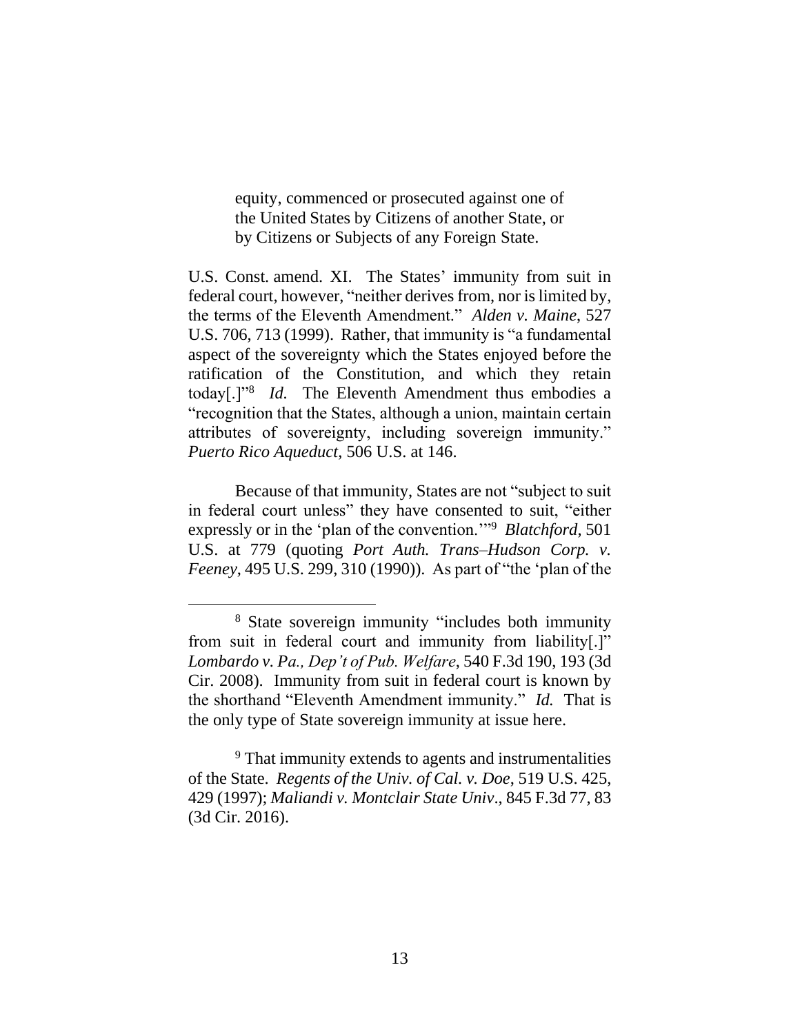equity, commenced or prosecuted against one of the United States by Citizens of another State, or by Citizens or Subjects of any Foreign State.

U.S. Const. amend. XI. The States' immunity from suit in federal court, however, "neither derives from, nor is limited by, the terms of the Eleventh Amendment." *Alden v. Maine*, 527 U.S. 706, 713 (1999). Rather, that immunity is "a fundamental aspect of the sovereignty which the States enjoyed before the ratification of the Constitution, and which they retain today[.]"<sup>8</sup> *Id.* The Eleventh Amendment thus embodies a "recognition that the States, although a union, maintain certain attributes of sovereignty, including sovereign immunity." *Puerto Rico Aqueduct*, 506 U.S. at 146.

Because of that immunity, States are not "subject to suit in federal court unless" they have consented to suit, "either expressly or in the 'plan of the convention.'"<sup>9</sup> *Blatchford*, 501 U.S. at 779 (quoting *Port Auth. Trans–Hudson Corp. v. Feeney*, 495 U.S. 299, 310 (1990)). As part of "the 'plan of the

 $\overline{a}$ 

<sup>9</sup> That immunity extends to agents and instrumentalities of the State. *Regents of the Univ. of Cal. v. Doe*, 519 U.S. 425, 429 (1997); *Maliandi v. Montclair State Univ*., 845 F.3d 77, 83 (3d Cir. 2016).

<sup>8</sup> State sovereign immunity "includes both immunity from suit in federal court and immunity from liability[.]" *Lombardo v. Pa., Dep't of Pub. Welfare*, 540 F.3d 190, 193 (3d Cir. 2008). Immunity from suit in federal court is known by the shorthand "Eleventh Amendment immunity." *Id.* That is the only type of State sovereign immunity at issue here.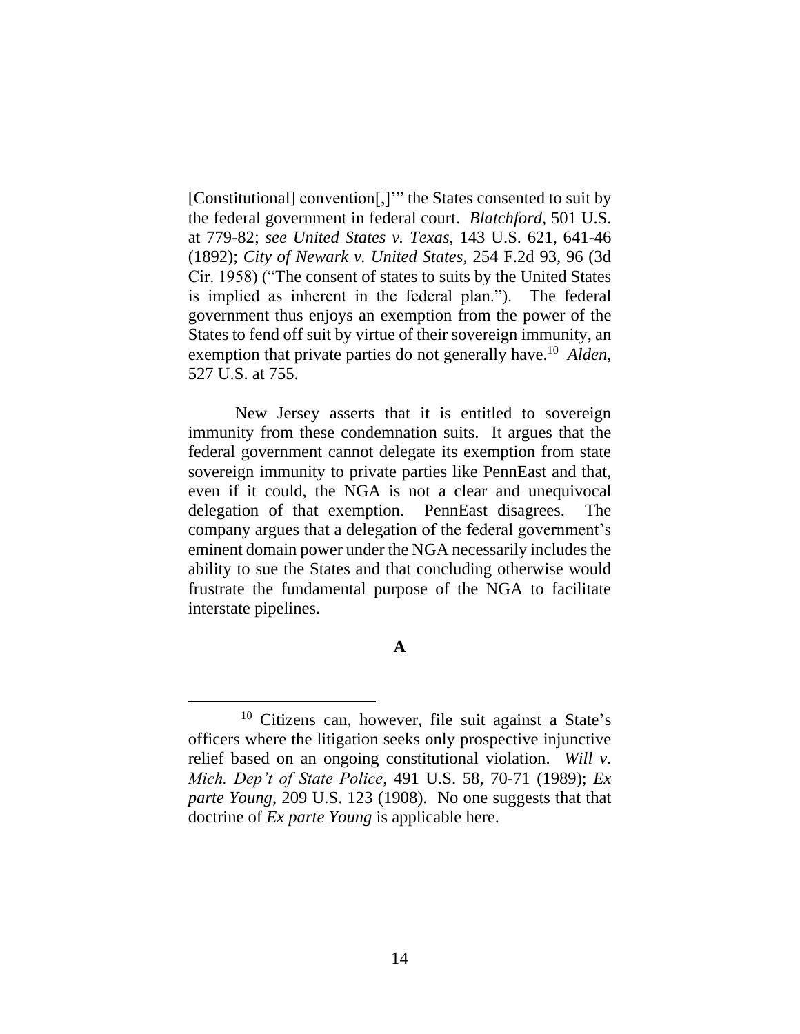[Constitutional] convention[,]'" the States consented to suit by the federal government in federal court. *Blatchford*, 501 U.S. at 779-82; *see United States v. Texas*, 143 U.S. 621, 641-46 (1892); *City of Newark v. United States*, 254 F.2d 93, 96 (3d Cir. 1958) ("The consent of states to suits by the United States is implied as inherent in the federal plan."). The federal government thus enjoys an exemption from the power of the States to fend off suit by virtue of their sovereign immunity, an exemption that private parties do not generally have. 10 *Alden*, 527 U.S. at 755.

New Jersey asserts that it is entitled to sovereign immunity from these condemnation suits. It argues that the federal government cannot delegate its exemption from state sovereign immunity to private parties like PennEast and that, even if it could, the NGA is not a clear and unequivocal delegation of that exemption. PennEast disagrees. The company argues that a delegation of the federal government's eminent domain power under the NGA necessarily includes the ability to sue the States and that concluding otherwise would frustrate the fundamental purpose of the NGA to facilitate interstate pipelines.

**A**

<sup>10</sup> Citizens can, however, file suit against a State's officers where the litigation seeks only prospective injunctive relief based on an ongoing constitutional violation. *Will v. Mich. Dep't of State Police*, 491 U.S. 58, 70-71 (1989); *Ex parte Young*, 209 U.S. 123 (1908). No one suggests that that doctrine of *Ex parte Young* is applicable here.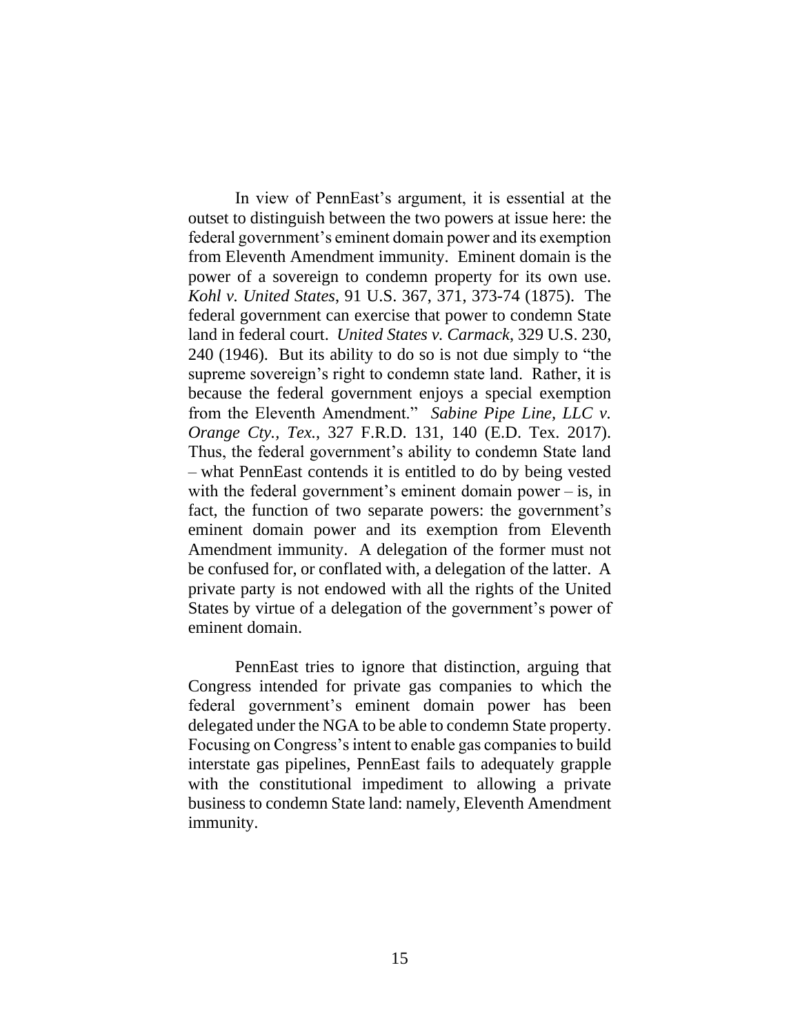In view of PennEast's argument, it is essential at the outset to distinguish between the two powers at issue here: the federal government's eminent domain power and its exemption from Eleventh Amendment immunity. Eminent domain is the power of a sovereign to condemn property for its own use. *Kohl v. United States*, 91 U.S. 367, 371, 373-74 (1875). The federal government can exercise that power to condemn State land in federal court. *United States v. Carmack*, 329 U.S. 230, 240 (1946). But its ability to do so is not due simply to "the supreme sovereign's right to condemn state land. Rather, it is because the federal government enjoys a special exemption from the Eleventh Amendment." *Sabine Pipe Line, LLC v. Orange Cty., Tex.*, 327 F.R.D. 131, 140 (E.D. Tex. 2017). Thus, the federal government's ability to condemn State land – what PennEast contends it is entitled to do by being vested with the federal government's eminent domain power – is, in fact, the function of two separate powers: the government's eminent domain power and its exemption from Eleventh Amendment immunity. A delegation of the former must not be confused for, or conflated with, a delegation of the latter. A private party is not endowed with all the rights of the United States by virtue of a delegation of the government's power of eminent domain.

PennEast tries to ignore that distinction, arguing that Congress intended for private gas companies to which the federal government's eminent domain power has been delegated under the NGA to be able to condemn State property. Focusing on Congress's intent to enable gas companies to build interstate gas pipelines, PennEast fails to adequately grapple with the constitutional impediment to allowing a private business to condemn State land: namely, Eleventh Amendment immunity.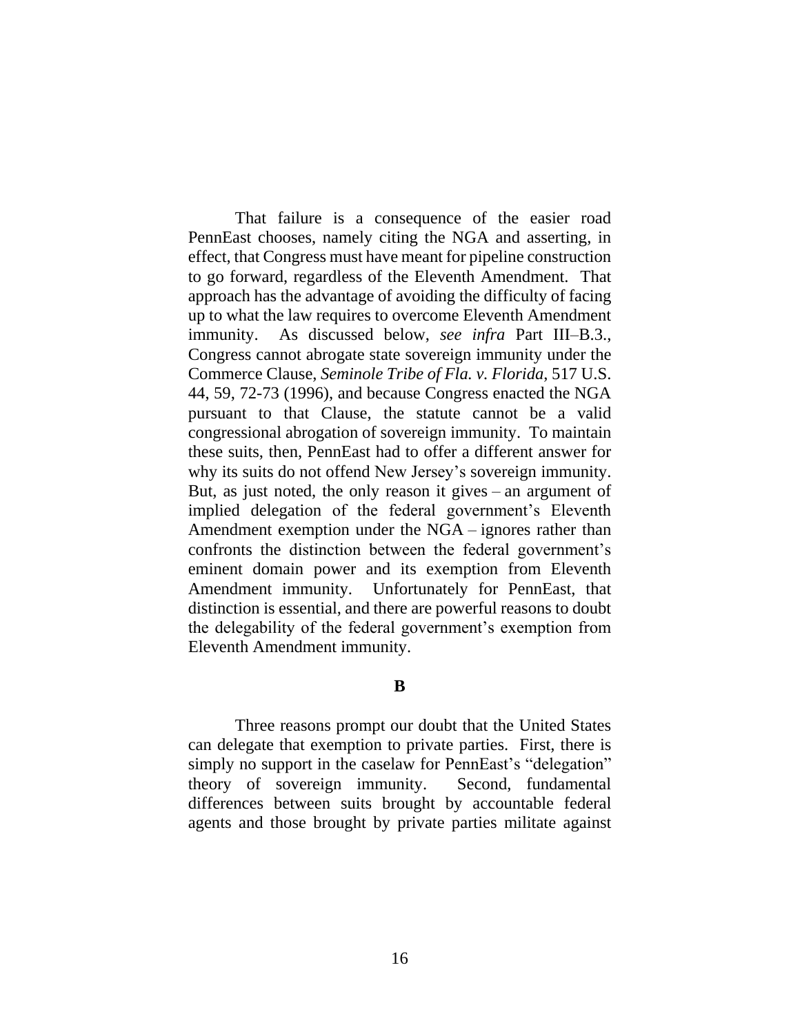That failure is a consequence of the easier road PennEast chooses, namely citing the NGA and asserting, in effect, that Congress must have meant for pipeline construction to go forward, regardless of the Eleventh Amendment. That approach has the advantage of avoiding the difficulty of facing up to what the law requires to overcome Eleventh Amendment immunity. As discussed below, *see infra* Part III–B.3., Congress cannot abrogate state sovereign immunity under the Commerce Clause, *Seminole Tribe of Fla. v. Florida*, 517 U.S. 44, 59, 72-73 (1996), and because Congress enacted the NGA pursuant to that Clause, the statute cannot be a valid congressional abrogation of sovereign immunity. To maintain these suits, then, PennEast had to offer a different answer for why its suits do not offend New Jersey's sovereign immunity. But, as just noted, the only reason it gives – an argument of implied delegation of the federal government's Eleventh Amendment exemption under the NGA – ignores rather than confronts the distinction between the federal government's eminent domain power and its exemption from Eleventh Amendment immunity. Unfortunately for PennEast, that distinction is essential, and there are powerful reasons to doubt the delegability of the federal government's exemption from Eleventh Amendment immunity.

#### **B**

Three reasons prompt our doubt that the United States can delegate that exemption to private parties. First, there is simply no support in the caselaw for PennEast's "delegation" theory of sovereign immunity. Second, fundamental differences between suits brought by accountable federal agents and those brought by private parties militate against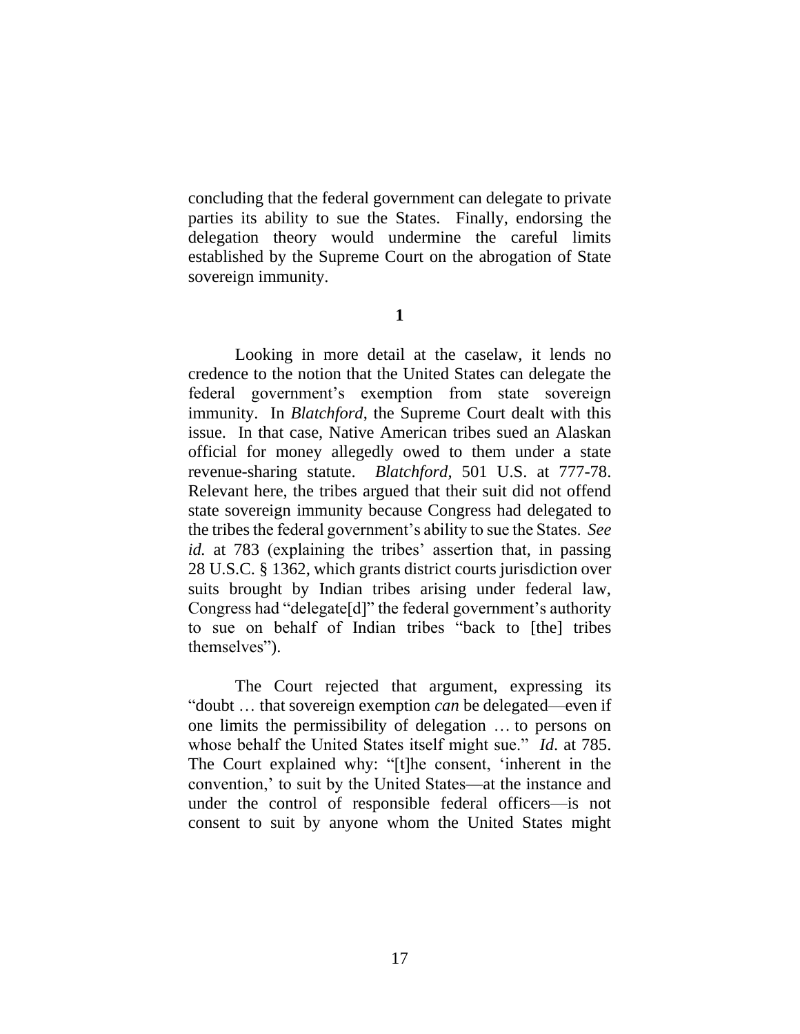concluding that the federal government can delegate to private parties its ability to sue the States. Finally, endorsing the delegation theory would undermine the careful limits established by the Supreme Court on the abrogation of State sovereign immunity.

**1**

Looking in more detail at the caselaw, it lends no credence to the notion that the United States can delegate the federal government's exemption from state sovereign immunity. In *Blatchford*, the Supreme Court dealt with this issue. In that case, Native American tribes sued an Alaskan official for money allegedly owed to them under a state revenue-sharing statute. *Blatchford*, 501 U.S. at 777-78. Relevant here, the tribes argued that their suit did not offend state sovereign immunity because Congress had delegated to the tribes the federal government's ability to sue the States. *See id.* at 783 (explaining the tribes' assertion that, in passing 28 U.S.C. § 1362, which grants district courts jurisdiction over suits brought by Indian tribes arising under federal law, Congress had "delegate[d]" the federal government's authority to sue on behalf of Indian tribes "back to [the] tribes themselves").

The Court rejected that argument, expressing its "doubt … that sovereign exemption *can* be delegated—even if one limits the permissibility of delegation … to persons on whose behalf the United States itself might sue." *Id*. at 785. The Court explained why: "[t]he consent, 'inherent in the convention,' to suit by the United States—at the instance and under the control of responsible federal officers—is not consent to suit by anyone whom the United States might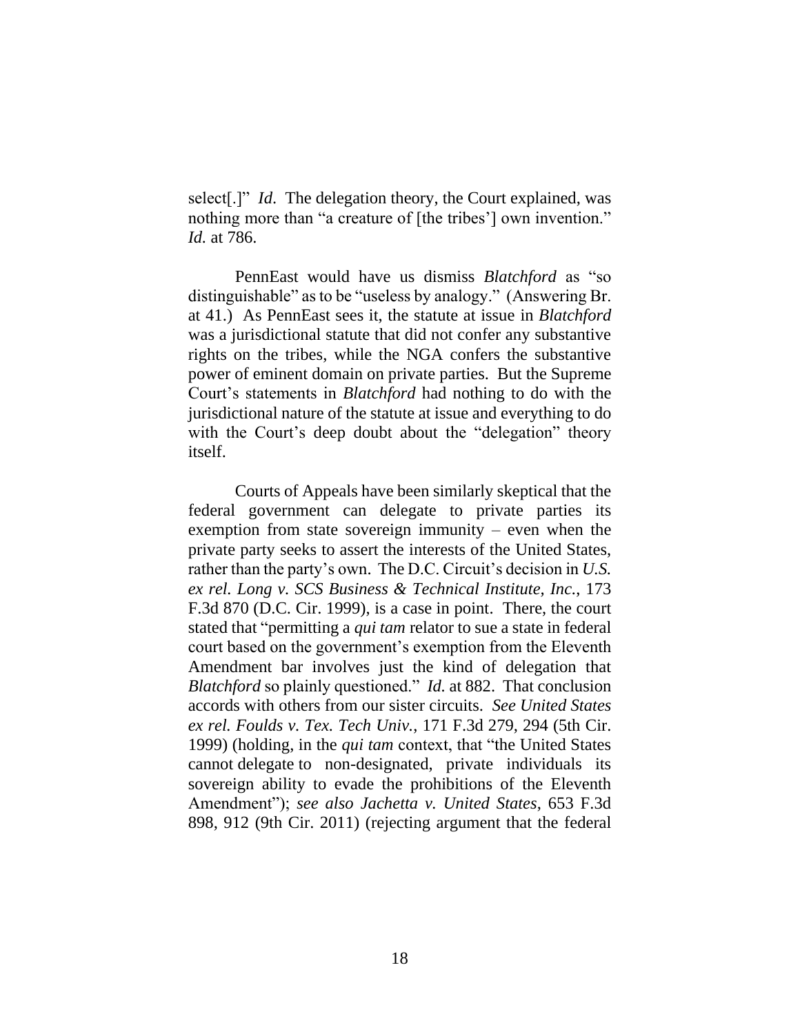select[.]" *Id*. The delegation theory, the Court explained, was nothing more than "a creature of [the tribes'] own invention." *Id.* at 786.

PennEast would have us dismiss *Blatchford* as "so distinguishable" as to be "useless by analogy." (Answering Br. at 41.) As PennEast sees it, the statute at issue in *Blatchford*  was a jurisdictional statute that did not confer any substantive rights on the tribes, while the NGA confers the substantive power of eminent domain on private parties. But the Supreme Court's statements in *Blatchford* had nothing to do with the jurisdictional nature of the statute at issue and everything to do with the Court's deep doubt about the "delegation" theory itself.

Courts of Appeals have been similarly skeptical that the federal government can delegate to private parties its exemption from state sovereign immunity – even when the private party seeks to assert the interests of the United States, rather than the party's own. The D.C. Circuit's decision in *U.S. ex rel. Long v. SCS Business & Technical Institute, Inc.*, 173 F.3d 870 (D.C. Cir. 1999), is a case in point. There, the court stated that "permitting a *qui tam* relator to sue a state in federal court based on the government's exemption from the Eleventh Amendment bar involves just the kind of delegation that *Blatchford* so plainly questioned." *Id.* at 882. That conclusion accords with others from our sister circuits. *See United States ex rel. Foulds v. Tex. Tech Univ.*, 171 F.3d 279, 294 (5th Cir. 1999) (holding, in the *qui tam* context, that "the United States cannot delegate to non-designated, private individuals its sovereign ability to evade the prohibitions of the Eleventh Amendment"); *see also Jachetta v. United States*, 653 F.3d 898, 912 (9th Cir. 2011) (rejecting argument that the federal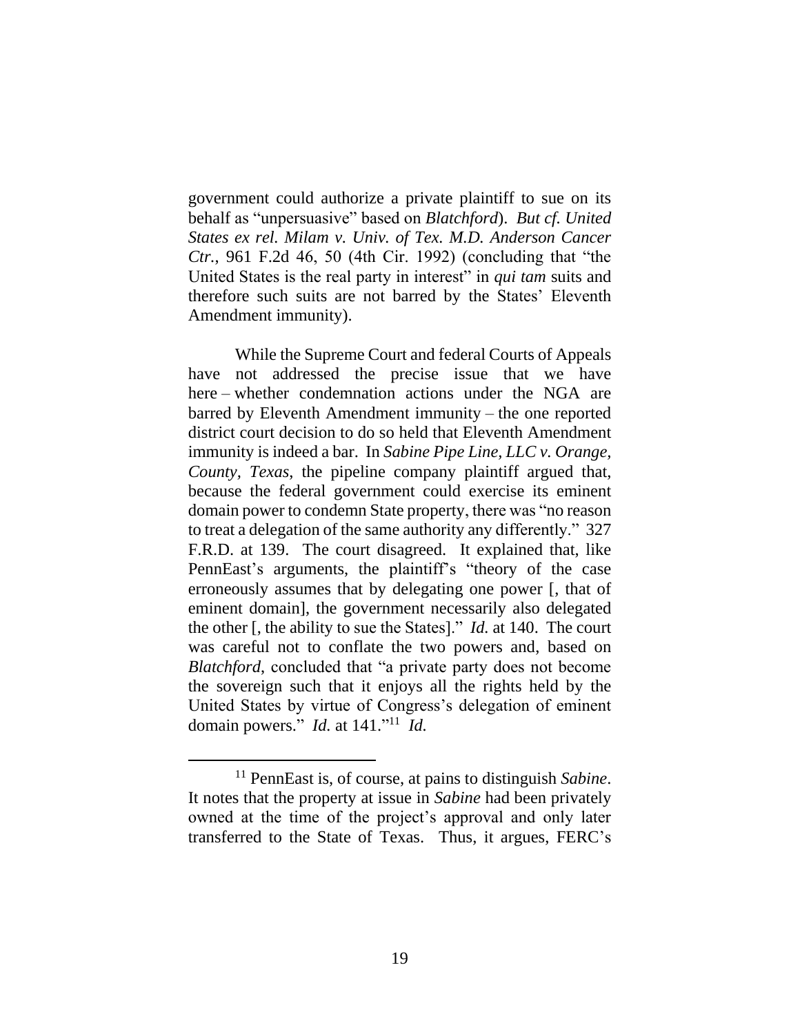government could authorize a private plaintiff to sue on its behalf as "unpersuasive" based on *Blatchford*). *But cf. United States ex rel. Milam v. Univ. of Tex. M.D. Anderson Cancer Ctr.*, 961 F.2d 46, 50 (4th Cir. 1992) (concluding that "the United States is the real party in interest" in *qui tam* suits and therefore such suits are not barred by the States' Eleventh Amendment immunity).

While the Supreme Court and federal Courts of Appeals have not addressed the precise issue that we have here – whether condemnation actions under the NGA are barred by Eleventh Amendment immunity – the one reported district court decision to do so held that Eleventh Amendment immunity is indeed a bar. In *Sabine Pipe Line, LLC v. Orange, County, Texas*, the pipeline company plaintiff argued that, because the federal government could exercise its eminent domain power to condemn State property, there was "no reason to treat a delegation of the same authority any differently." 327 F.R.D. at 139. The court disagreed. It explained that, like PennEast's arguments, the plaintiff's "theory of the case erroneously assumes that by delegating one power [, that of eminent domain], the government necessarily also delegated the other [, the ability to sue the States]." *Id.* at 140. The court was careful not to conflate the two powers and, based on *Blatchford*, concluded that "a private party does not become the sovereign such that it enjoys all the rights held by the United States by virtue of Congress's delegation of eminent domain powers." *Id.* at 141." 11 *Id.*

<sup>11</sup> PennEast is, of course, at pains to distinguish *Sabine*. It notes that the property at issue in *Sabine* had been privately owned at the time of the project's approval and only later transferred to the State of Texas. Thus, it argues, FERC's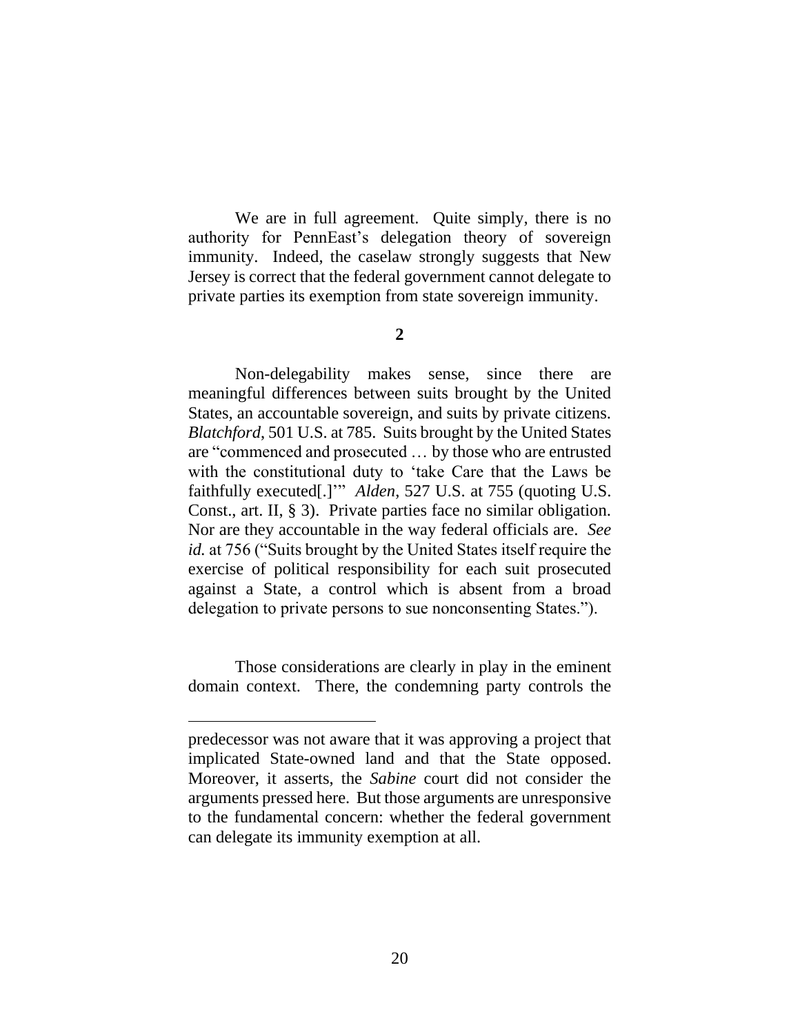We are in full agreement. Quite simply, there is no authority for PennEast's delegation theory of sovereign immunity. Indeed, the caselaw strongly suggests that New Jersey is correct that the federal government cannot delegate to private parties its exemption from state sovereign immunity.

#### **2**

Non-delegability makes sense, since there are meaningful differences between suits brought by the United States, an accountable sovereign, and suits by private citizens. *Blatchford*, 501 U.S. at 785. Suits brought by the United States are "commenced and prosecuted … by those who are entrusted with the constitutional duty to 'take Care that the Laws be faithfully executed[.]'" *Alden*, 527 U.S. at 755 (quoting U.S. Const., art. II, § 3). Private parties face no similar obligation. Nor are they accountable in the way federal officials are. *See id.* at 756 ("Suits brought by the United States itself require the exercise of political responsibility for each suit prosecuted against a State, a control which is absent from a broad delegation to private persons to sue nonconsenting States.").

Those considerations are clearly in play in the eminent domain context. There, the condemning party controls the

predecessor was not aware that it was approving a project that implicated State-owned land and that the State opposed. Moreover, it asserts, the *Sabine* court did not consider the arguments pressed here. But those arguments are unresponsive to the fundamental concern: whether the federal government can delegate its immunity exemption at all.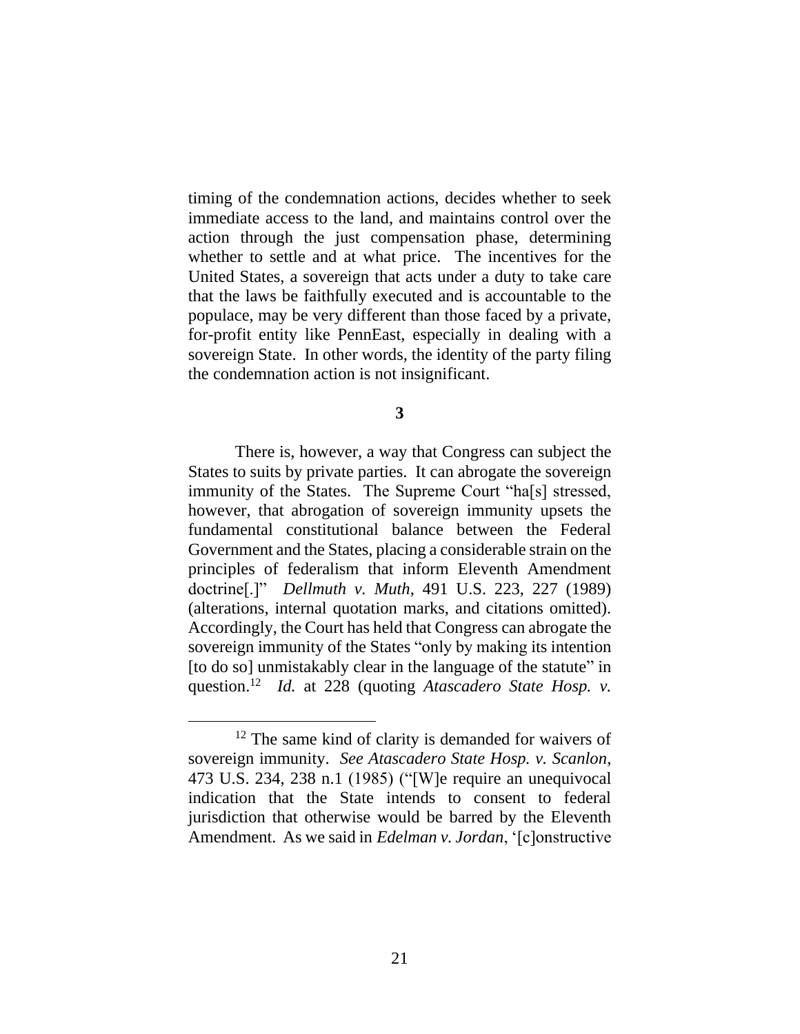timing of the condemnation actions, decides whether to seek immediate access to the land, and maintains control over the action through the just compensation phase, determining whether to settle and at what price. The incentives for the United States, a sovereign that acts under a duty to take care that the laws be faithfully executed and is accountable to the populace, may be very different than those faced by a private, for-profit entity like PennEast, especially in dealing with a sovereign State. In other words, the identity of the party filing the condemnation action is not insignificant.

**3**

There is, however, a way that Congress can subject the States to suits by private parties. It can abrogate the sovereign immunity of the States. The Supreme Court "ha[s] stressed, however, that abrogation of sovereign immunity upsets the fundamental constitutional balance between the Federal Government and the States, placing a considerable strain on the principles of federalism that inform Eleventh Amendment doctrine[.]" *Dellmuth v. Muth*, 491 U.S. 223, 227 (1989) (alterations, internal quotation marks, and citations omitted). Accordingly, the Court has held that Congress can abrogate the sovereign immunity of the States "only by making its intention [to do so] unmistakably clear in the language of the statute" in question.<sup>12</sup> *Id.* at 228 (quoting *Atascadero State Hosp. v.* 

<sup>&</sup>lt;sup>12</sup> The same kind of clarity is demanded for waivers of sovereign immunity. *See Atascadero State Hosp. v. Scanlon*, 473 U.S. 234, 238 n.1 (1985) ("[W]e require an unequivocal indication that the State intends to consent to federal jurisdiction that otherwise would be barred by the Eleventh Amendment. As we said in *Edelman v. Jordan*, '[c]onstructive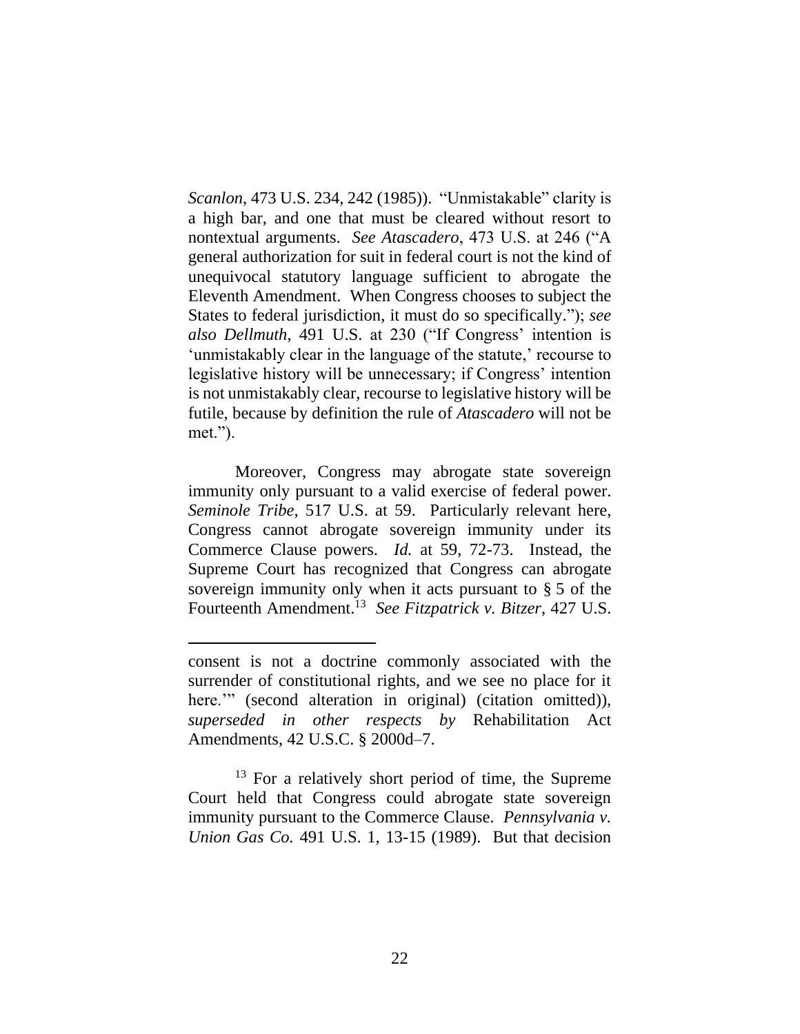*Scanlon*, 473 U.S. 234, 242 (1985)). "Unmistakable" clarity is a high bar, and one that must be cleared without resort to nontextual arguments. *See Atascadero*, 473 U.S. at 246 ("A general authorization for suit in federal court is not the kind of unequivocal statutory language sufficient to abrogate the Eleventh Amendment. When Congress chooses to subject the States to federal jurisdiction, it must do so specifically."); *see also Dellmuth*, 491 U.S. at 230 ("If Congress' intention is 'unmistakably clear in the language of the statute,' recourse to legislative history will be unnecessary; if Congress' intention is not unmistakably clear, recourse to legislative history will be futile, because by definition the rule of *Atascadero* will not be met.").

Moreover, Congress may abrogate state sovereign immunity only pursuant to a valid exercise of federal power. *Seminole Tribe*, 517 U.S. at 59. Particularly relevant here, Congress cannot abrogate sovereign immunity under its Commerce Clause powers. *Id.* at 59, 72-73. Instead, the Supreme Court has recognized that Congress can abrogate sovereign immunity only when it acts pursuant to § 5 of the Fourteenth Amendment.<sup>13</sup> *See Fitzpatrick v. Bitzer*, 427 U.S.

 $\overline{a}$ 

 $13$  For a relatively short period of time, the Supreme Court held that Congress could abrogate state sovereign immunity pursuant to the Commerce Clause. *Pennsylvania v. Union Gas Co.* 491 U.S. 1, 13-15 (1989). But that decision

consent is not a doctrine commonly associated with the surrender of constitutional rights, and we see no place for it here."" (second alteration in original) (citation omitted)), *superseded in other respects by* Rehabilitation Act Amendments, 42 U.S.C. § 2000d–7.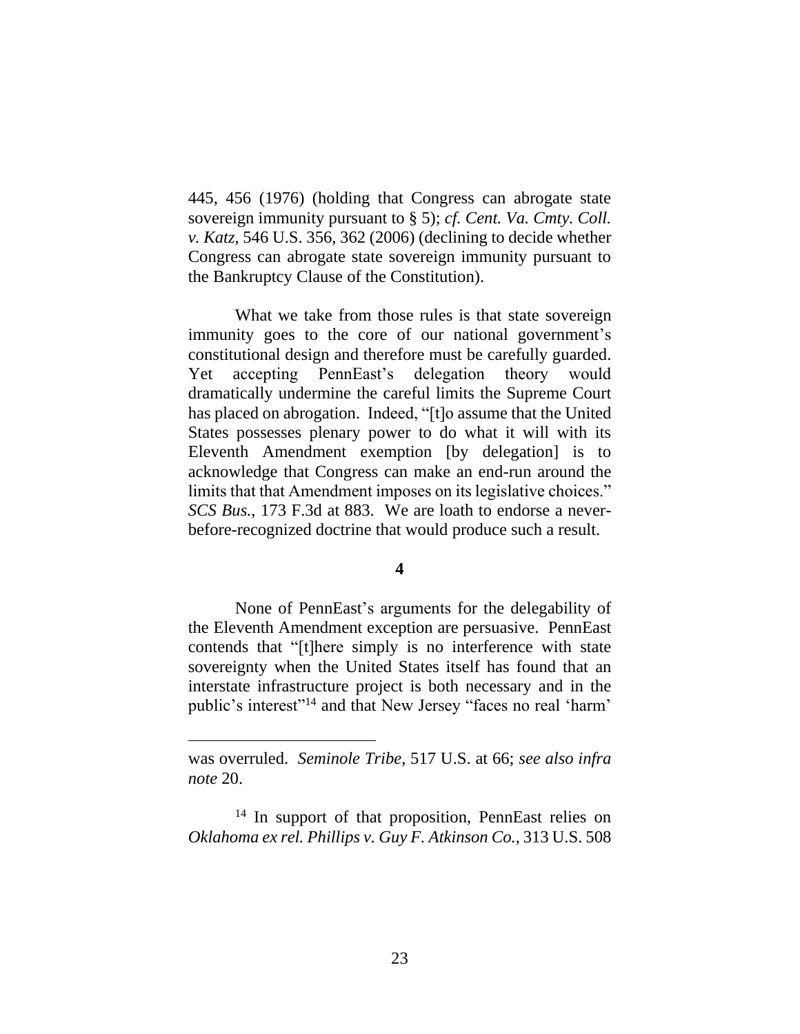445, 456 (1976) (holding that Congress can abrogate state sovereign immunity pursuant to § 5); *cf. Cent. Va. Cmty. Coll. v. Katz*, 546 U.S. 356, 362 (2006) (declining to decide whether Congress can abrogate state sovereign immunity pursuant to the Bankruptcy Clause of the Constitution).

What we take from those rules is that state sovereign immunity goes to the core of our national government's constitutional design and therefore must be carefully guarded. Yet accepting PennEast's delegation theory would dramatically undermine the careful limits the Supreme Court has placed on abrogation. Indeed, "[t]o assume that the United States possesses plenary power to do what it will with its Eleventh Amendment exemption [by delegation] is to acknowledge that Congress can make an end-run around the limits that that Amendment imposes on its legislative choices." *SCS Bus.*, 173 F.3d at 883. We are loath to endorse a neverbefore-recognized doctrine that would produce such a result.

**4**

None of PennEast's arguments for the delegability of the Eleventh Amendment exception are persuasive. PennEast contends that "[t]here simply is no interference with state sovereignty when the United States itself has found that an interstate infrastructure project is both necessary and in the public's interest"<sup>14</sup> and that New Jersey "faces no real 'harm'

was overruled. *Seminole Tribe*, 517 U.S. at 66; *see also infra note* 20.

<sup>&</sup>lt;sup>14</sup> In support of that proposition, PennEast relies on *Oklahoma ex rel. Phillips v. Guy F. Atkinson Co.*, 313 U.S. 508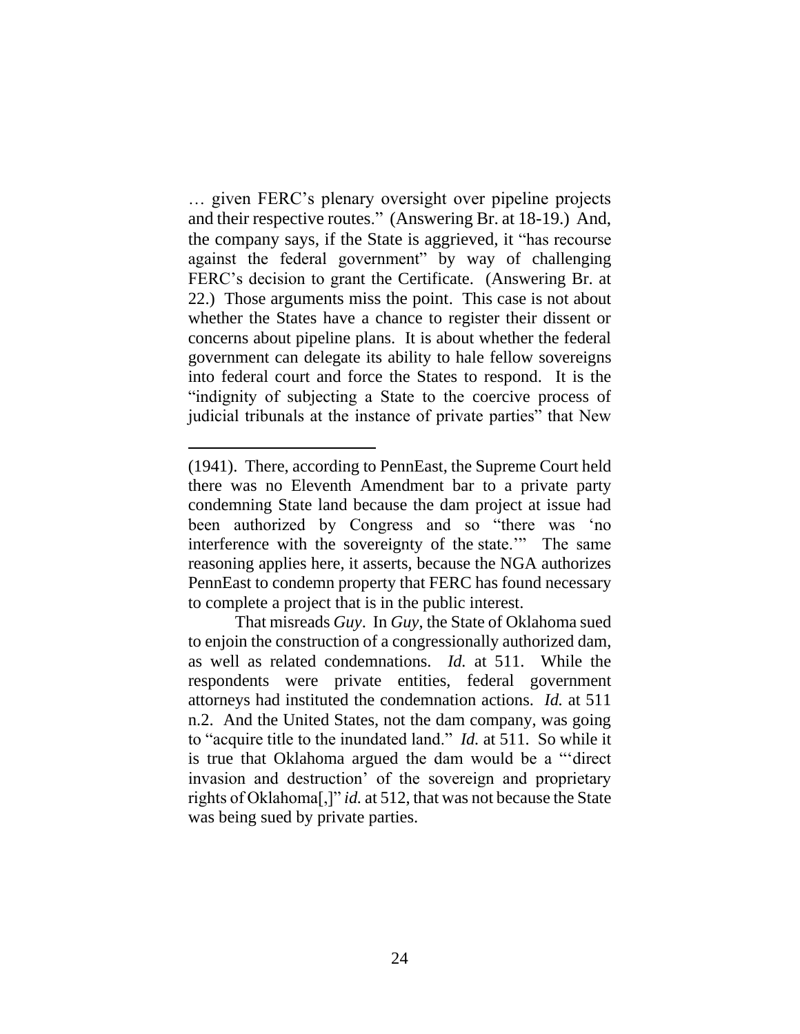… given FERC's plenary oversight over pipeline projects and their respective routes." (Answering Br. at 18-19.) And, the company says, if the State is aggrieved, it "has recourse against the federal government" by way of challenging FERC's decision to grant the Certificate. (Answering Br. at 22.) Those arguments miss the point. This case is not about whether the States have a chance to register their dissent or concerns about pipeline plans. It is about whether the federal government can delegate its ability to hale fellow sovereigns into federal court and force the States to respond. It is the "indignity of subjecting a State to the coercive process of judicial tribunals at the instance of private parties" that New

<sup>(1941).</sup> There, according to PennEast, the Supreme Court held there was no Eleventh Amendment bar to a private party condemning State land because the dam project at issue had been authorized by Congress and so "there was 'no interference with the sovereignty of the state.'" The same reasoning applies here, it asserts, because the NGA authorizes PennEast to condemn property that FERC has found necessary to complete a project that is in the public interest.

That misreads *Guy*. In *Guy*, the State of Oklahoma sued to enjoin the construction of a congressionally authorized dam, as well as related condemnations. *Id.* at 511. While the respondents were private entities, federal government attorneys had instituted the condemnation actions. *Id.* at 511 n.2. And the United States, not the dam company, was going to "acquire title to the inundated land." *Id.* at 511.So while it is true that Oklahoma argued the dam would be a "'direct invasion and destruction' of the sovereign and proprietary rights of Oklahoma[,]" *id.* at 512, that was not because the State was being sued by private parties.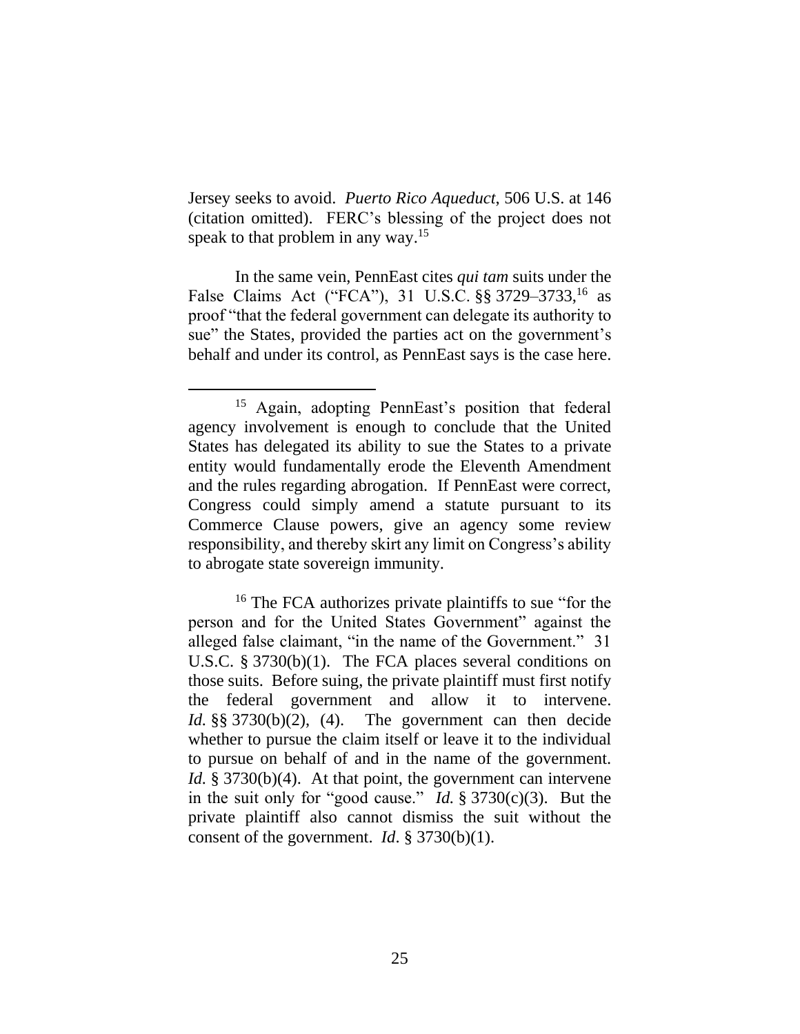Jersey seeks to avoid. *Puerto Rico Aqueduct*, 506 U.S. at 146 (citation omitted). FERC's blessing of the project does not speak to that problem in any way.<sup>15</sup>

In the same vein, PennEast cites *qui tam* suits under the False Claims Act ("FCA"), 31 U.S.C. §§ 3729–3733,<sup>16</sup> as proof "that the federal government can delegate its authority to sue" the States, provided the parties act on the government's behalf and under its control, as PennEast says is the case here.

 $\overline{a}$ 

<sup>16</sup> The FCA authorizes private plaintiffs to sue "for the person and for the United States Government" against the alleged false claimant, "in the name of the Government." 31 U.S.C. § 3730(b)(1). The FCA places several conditions on those suits. Before suing, the private plaintiff must first notify the federal government and allow it to intervene. *Id.* §§ 3730(b)(2), (4). The government can then decide whether to pursue the claim itself or leave it to the individual to pursue on behalf of and in the name of the government. *Id.* § 3730(b)(4). At that point, the government can intervene in the suit only for "good cause." *Id.* § 3730(c)(3). But the private plaintiff also cannot dismiss the suit without the consent of the government. *Id*. § 3730(b)(1).

<sup>&</sup>lt;sup>15</sup> Again, adopting PennEast's position that federal agency involvement is enough to conclude that the United States has delegated its ability to sue the States to a private entity would fundamentally erode the Eleventh Amendment and the rules regarding abrogation. If PennEast were correct, Congress could simply amend a statute pursuant to its Commerce Clause powers, give an agency some review responsibility, and thereby skirt any limit on Congress's ability to abrogate state sovereign immunity.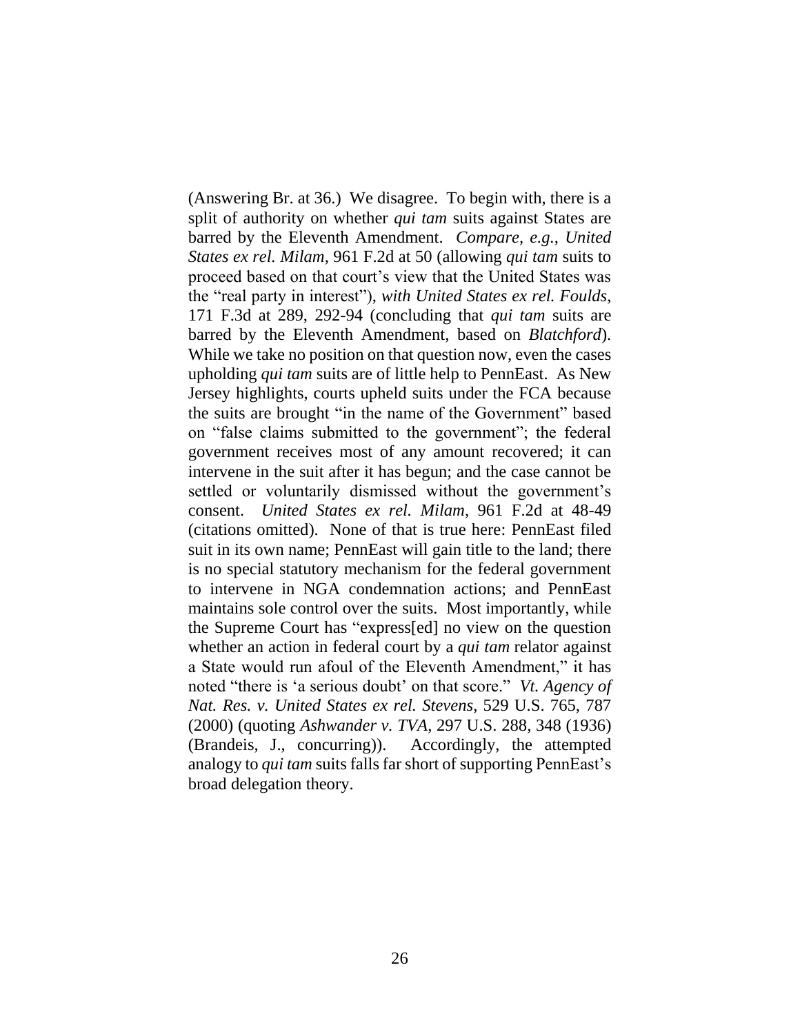(Answering Br. at 36.) We disagree. To begin with, there is a split of authority on whether *qui tam* suits against States are barred by the Eleventh Amendment. *Compare, e.g.*, *United States ex rel. Milam*, 961 F.2d at 50 (allowing *qui tam* suits to proceed based on that court's view that the United States was the "real party in interest"), *with United States ex rel. Foulds*, 171 F.3d at 289, 292-94 (concluding that *qui tam* suits are barred by the Eleventh Amendment, based on *Blatchford*). While we take no position on that question now, even the cases upholding *qui tam* suits are of little help to PennEast. As New Jersey highlights, courts upheld suits under the FCA because the suits are brought "in the name of the Government" based on "false claims submitted to the government"; the federal government receives most of any amount recovered; it can intervene in the suit after it has begun; and the case cannot be settled or voluntarily dismissed without the government's consent. *United States ex rel. Milam*, 961 F.2d at 48-49 (citations omitted). None of that is true here: PennEast filed suit in its own name; PennEast will gain title to the land; there is no special statutory mechanism for the federal government to intervene in NGA condemnation actions; and PennEast maintains sole control over the suits. Most importantly, while the Supreme Court has "express[ed] no view on the question whether an action in federal court by a *qui tam* relator against a State would run afoul of the Eleventh Amendment," it has noted "there is 'a serious doubt' on that score." *Vt. Agency of Nat. Res. v. United States ex rel. Stevens*, 529 U.S. 765, 787 (2000) (quoting *Ashwander v. TVA*, 297 U.S. 288, 348 (1936) (Brandeis, J., concurring)). Accordingly, the attempted analogy to *qui tam* suits falls far short of supporting PennEast's broad delegation theory.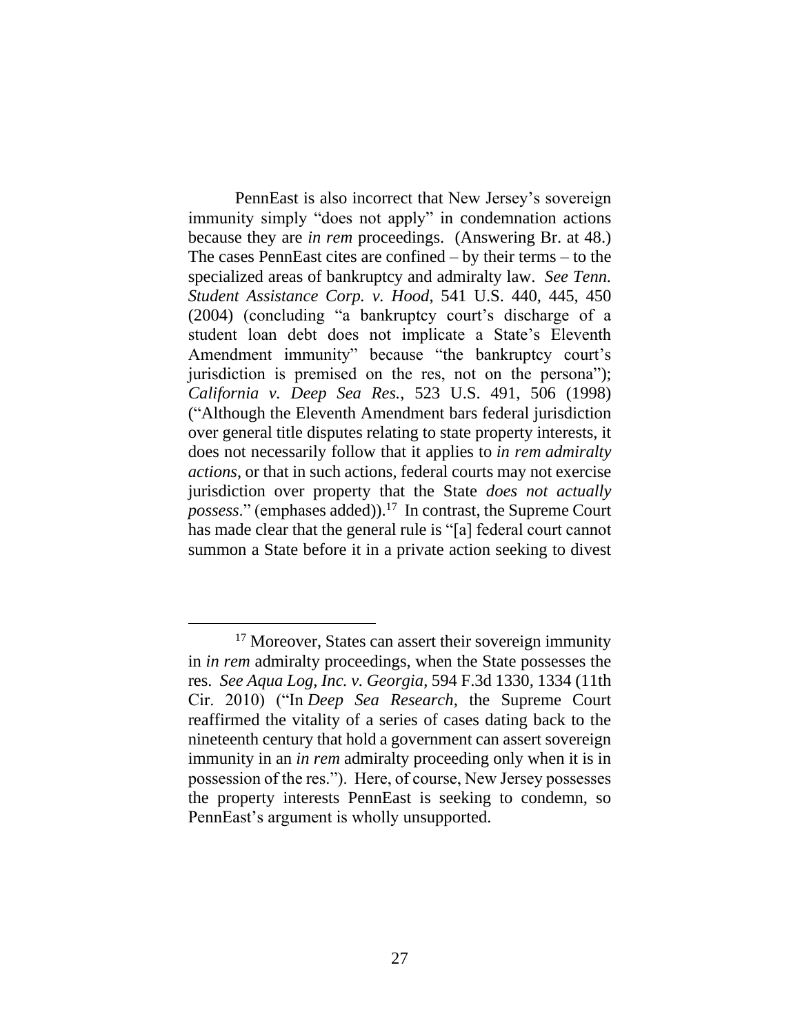PennEast is also incorrect that New Jersey's sovereign immunity simply "does not apply" in condemnation actions because they are *in rem* proceedings. (Answering Br. at 48.) The cases PennEast cites are confined – by their terms – to the specialized areas of bankruptcy and admiralty law. *See Tenn. Student Assistance Corp. v. Hood*, 541 U.S. 440, 445, 450 (2004) (concluding "a bankruptcy court's discharge of a student loan debt does not implicate a State's Eleventh Amendment immunity" because "the bankruptcy court's jurisdiction is premised on the res, not on the persona"); *California v. Deep Sea Res.*, 523 U.S. 491, 506 (1998) ("Although the Eleventh Amendment bars federal jurisdiction over general title disputes relating to state property interests, it does not necessarily follow that it applies to *in rem admiralty actions*, or that in such actions, federal courts may not exercise jurisdiction over property that the State *does not actually possess*." (emphases added)). 17 In contrast, the Supreme Court has made clear that the general rule is "[a] federal court cannot summon a State before it in a private action seeking to divest

<sup>&</sup>lt;sup>17</sup> Moreover, States can assert their sovereign immunity in *in rem* admiralty proceedings, when the State possesses the res. *See Aqua Log, Inc. v. Georgia*, 594 F.3d 1330, 1334 (11th Cir. 2010) ("In *Deep Sea Research*, the Supreme Court reaffirmed the vitality of a series of cases dating back to the nineteenth century that hold a government can assert sovereign immunity in an *in rem* admiralty proceeding only when it is in possession of the res."). Here, of course, New Jersey possesses the property interests PennEast is seeking to condemn, so PennEast's argument is wholly unsupported.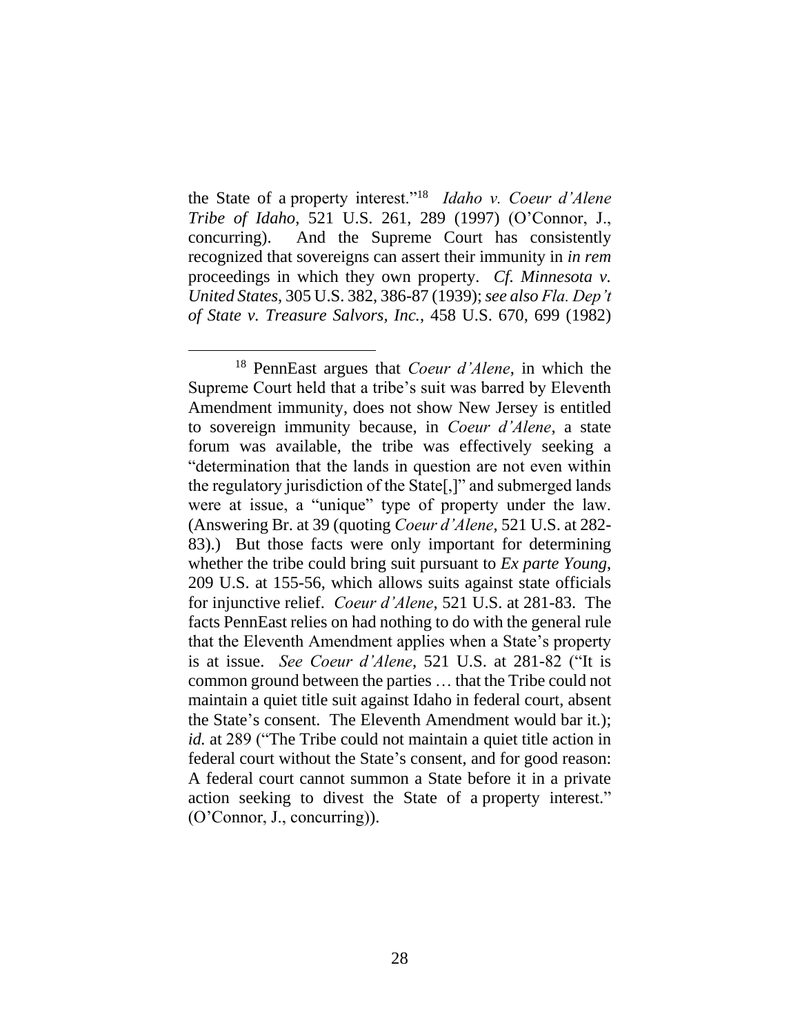the State of a property interest."<sup>18</sup> *Idaho v. Coeur d'Alene Tribe of Idaho*, 521 U.S. 261, 289 (1997) (O'Connor, J., concurring). And the Supreme Court has consistently recognized that sovereigns can assert their immunity in *in rem* proceedings in which they own property. *Cf. Minnesota v. United States*, 305 U.S. 382, 386-87 (1939); *see also Fla. Dep't of State v. Treasure Salvors, Inc.*, 458 U.S. 670, 699 (1982)

<sup>18</sup> PennEast argues that *Coeur d'Alene*, in which the Supreme Court held that a tribe's suit was barred by Eleventh Amendment immunity, does not show New Jersey is entitled to sovereign immunity because, in *Coeur d'Alene*, a state forum was available, the tribe was effectively seeking a "determination that the lands in question are not even within the regulatory jurisdiction of the State[,]" and submerged lands were at issue, a "unique" type of property under the law. (Answering Br. at 39 (quoting *Coeur d'Alene*, 521 U.S. at 282- 83).) But those facts were only important for determining whether the tribe could bring suit pursuant to *Ex parte Young*, 209 U.S. at 155-56, which allows suits against state officials for injunctive relief. *Coeur d'Alene*, 521 U.S. at 281-83. The facts PennEast relies on had nothing to do with the general rule that the Eleventh Amendment applies when a State's property is at issue. *See Coeur d'Alene*, 521 U.S. at 281-82 ("It is common ground between the parties … that the Tribe could not maintain a quiet title suit against Idaho in federal court, absent the State's consent. The Eleventh Amendment would bar it.); *id.* at 289 ("The Tribe could not maintain a quiet title action in federal court without the State's consent, and for good reason: A federal court cannot summon a State before it in a private action seeking to divest the State of a property interest." (O'Connor, J., concurring)).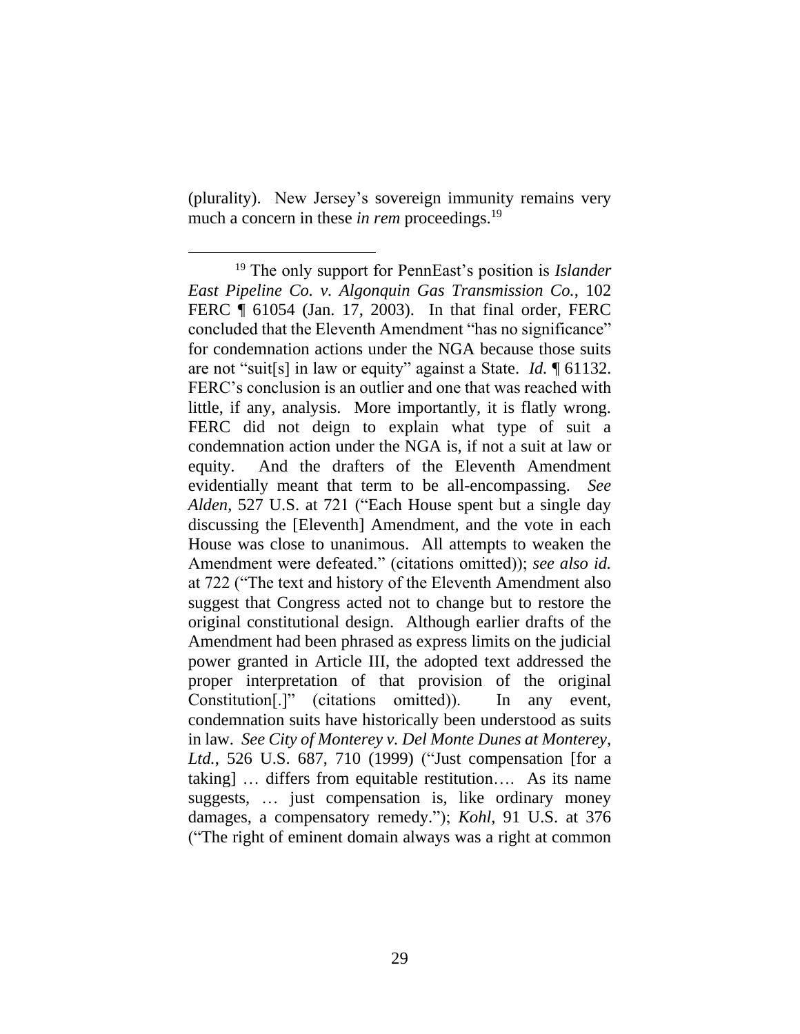(plurality). New Jersey's sovereign immunity remains very much a concern in these *in rem* proceedings.<sup>19</sup>

<sup>19</sup> The only support for PennEast's position is *Islander East Pipeline Co. v. Algonquin Gas Transmission Co.*, 102 FERC ¶ 61054 (Jan. 17, 2003). In that final order, FERC concluded that the Eleventh Amendment "has no significance" for condemnation actions under the NGA because those suits are not "suit[s] in law or equity" against a State. *Id.* ¶ 61132. FERC's conclusion is an outlier and one that was reached with little, if any, analysis. More importantly, it is flatly wrong. FERC did not deign to explain what type of suit a condemnation action under the NGA is, if not a suit at law or equity. And the drafters of the Eleventh Amendment evidentially meant that term to be all-encompassing. *See Alden*, 527 U.S. at 721 ("Each House spent but a single day discussing the [Eleventh] Amendment, and the vote in each House was close to unanimous. All attempts to weaken the Amendment were defeated." (citations omitted)); *see also id.*  at 722 ("The text and history of the Eleventh Amendment also suggest that Congress acted not to change but to restore the original constitutional design. Although earlier drafts of the Amendment had been phrased as express limits on the judicial power granted in Article III, the adopted text addressed the proper interpretation of that provision of the original Constitution[.]" (citations omitted)). In any event, condemnation suits have historically been understood as suits in law. *See City of Monterey v. Del Monte Dunes at Monterey, Ltd.*, 526 U.S. 687, 710 (1999) ("Just compensation [for a taking] … differs from equitable restitution…. As its name suggests, … just compensation is, like ordinary money damages, a compensatory remedy."); *Kohl*, 91 U.S. at 376 ("The right of eminent domain always was a right at common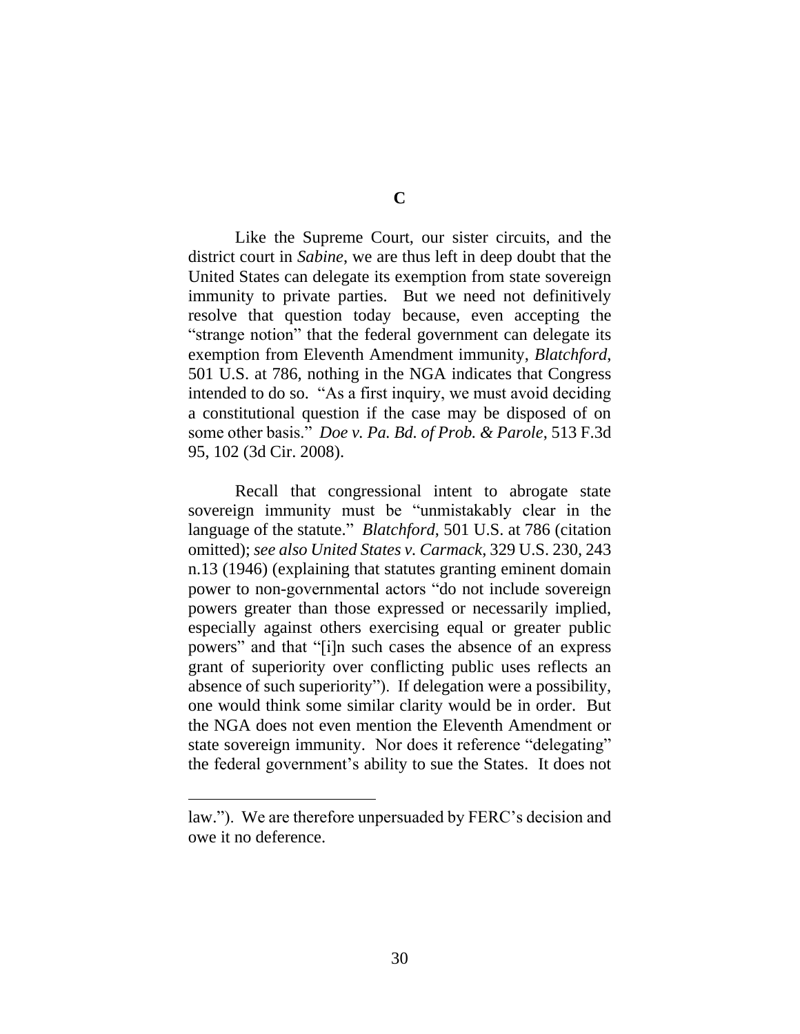Like the Supreme Court, our sister circuits, and the district court in *Sabine*, we are thus left in deep doubt that the United States can delegate its exemption from state sovereign immunity to private parties. But we need not definitively resolve that question today because, even accepting the "strange notion" that the federal government can delegate its exemption from Eleventh Amendment immunity, *Blatchford*, 501 U.S. at 786, nothing in the NGA indicates that Congress intended to do so. "As a first inquiry, we must avoid deciding a constitutional question if the case may be disposed of on some other basis." *Doe v. Pa. Bd. of Prob. & Parole*, 513 F.3d 95, 102 (3d Cir. 2008).

Recall that congressional intent to abrogate state sovereign immunity must be "unmistakably clear in the language of the statute." *Blatchford*, 501 U.S. at 786 (citation omitted); *see also United States v. Carmack*, 329 U.S. 230, 243 n.13 (1946) (explaining that statutes granting eminent domain power to non-governmental actors "do not include sovereign powers greater than those expressed or necessarily implied, especially against others exercising equal or greater public powers" and that "[i]n such cases the absence of an express grant of superiority over conflicting public uses reflects an absence of such superiority"). If delegation were a possibility, one would think some similar clarity would be in order. But the NGA does not even mention the Eleventh Amendment or state sovereign immunity. Nor does it reference "delegating" the federal government's ability to sue the States. It does not

law."). We are therefore unpersuaded by FERC's decision and owe it no deference.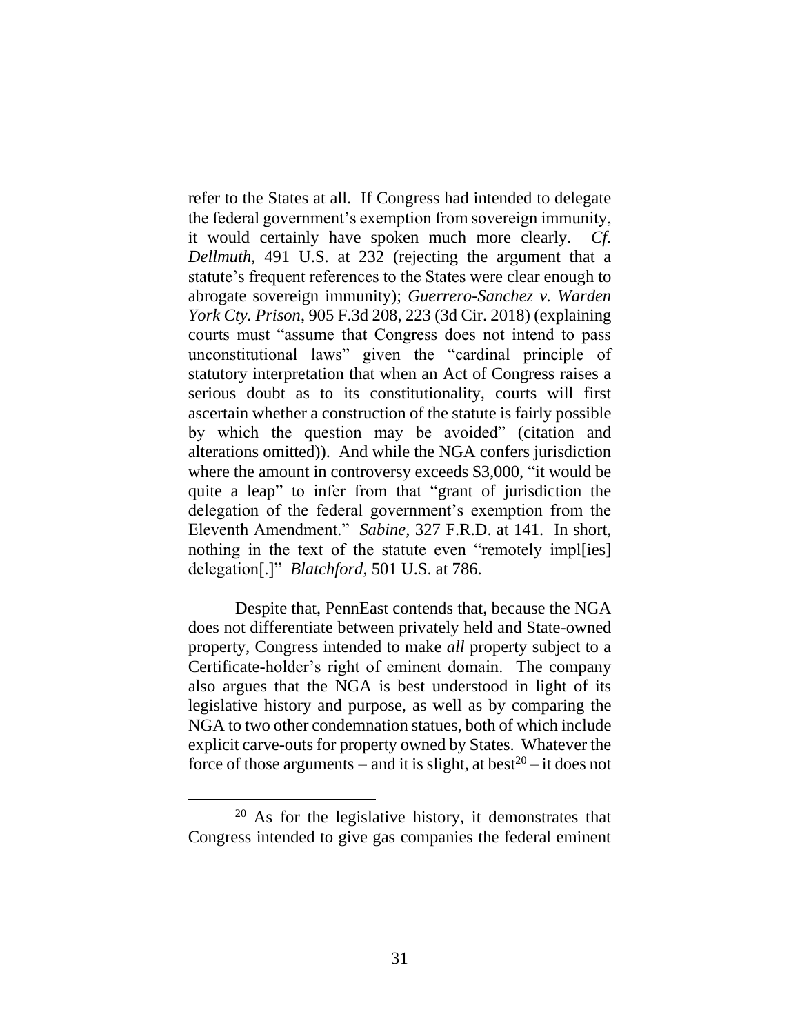refer to the States at all. If Congress had intended to delegate the federal government's exemption from sovereign immunity, it would certainly have spoken much more clearly. *Cf. Dellmuth*, 491 U.S. at 232 (rejecting the argument that a statute's frequent references to the States were clear enough to abrogate sovereign immunity); *Guerrero-Sanchez v. Warden York Cty. Prison*, 905 F.3d 208, 223 (3d Cir. 2018) (explaining courts must "assume that Congress does not intend to pass unconstitutional laws" given the "cardinal principle of statutory interpretation that when an Act of Congress raises a serious doubt as to its constitutionality, courts will first ascertain whether a construction of the statute is fairly possible by which the question may be avoided" (citation and alterations omitted)). And while the NGA confers jurisdiction where the amount in controversy exceeds \$3,000, "it would be quite a leap" to infer from that "grant of jurisdiction the delegation of the federal government's exemption from the Eleventh Amendment." *Sabine*, 327 F.R.D. at 141. In short, nothing in the text of the statute even "remotely impleseddelegation[.]" *Blatchford*, 501 U.S. at 786.

Despite that, PennEast contends that, because the NGA does not differentiate between privately held and State-owned property, Congress intended to make *all* property subject to a Certificate-holder's right of eminent domain. The company also argues that the NGA is best understood in light of its legislative history and purpose, as well as by comparing the NGA to two other condemnation statues, both of which include explicit carve-outs for property owned by States. Whatever the force of those arguments – and it is slight, at best<sup>20</sup> – it does not

<sup>20</sup> As for the legislative history, it demonstrates that Congress intended to give gas companies the federal eminent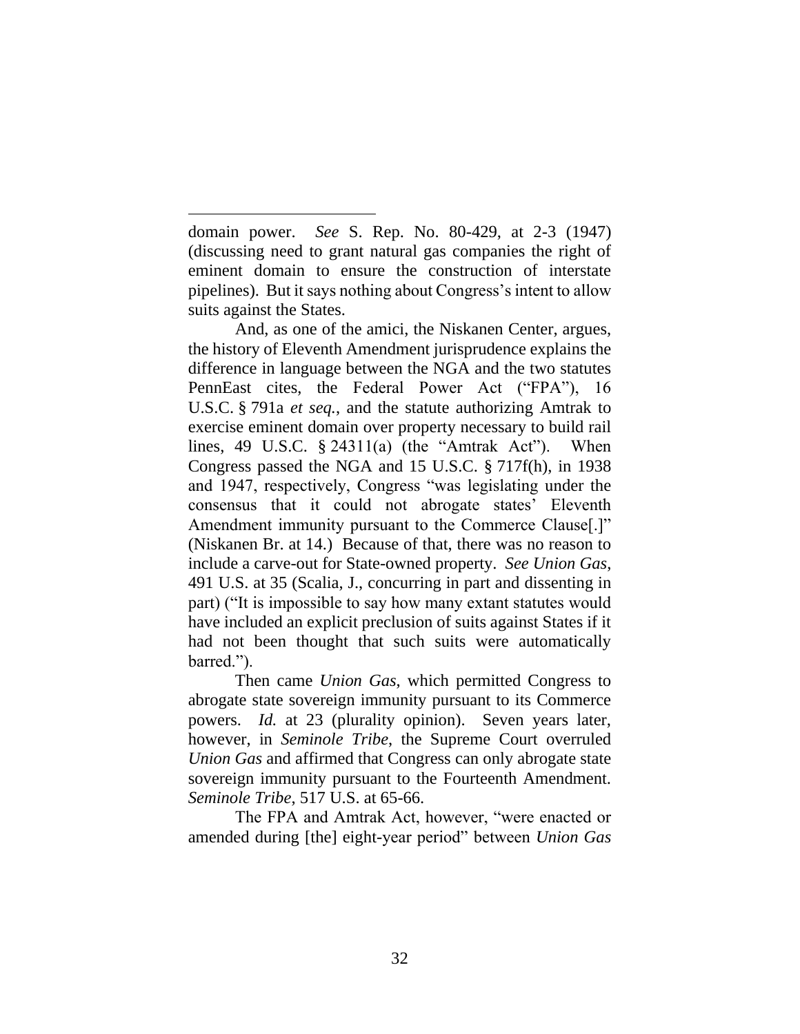domain power. *See* S. Rep. No. 80-429, at 2-3 (1947) (discussing need to grant natural gas companies the right of eminent domain to ensure the construction of interstate pipelines). But it says nothing about Congress's intent to allow suits against the States.

 $\overline{a}$ 

And, as one of the amici, the Niskanen Center, argues, the history of Eleventh Amendment jurisprudence explains the difference in language between the NGA and the two statutes PennEast cites, the Federal Power Act ("FPA"), 16 U.S.C. § 791a *et seq.*, and the statute authorizing Amtrak to exercise eminent domain over property necessary to build rail lines, 49 U.S.C.  $\S$  24311(a) (the "Amtrak Act"). When Congress passed the NGA and 15 U.S.C. § 717f(h), in 1938 and 1947, respectively, Congress "was legislating under the consensus that it could not abrogate states' Eleventh Amendment immunity pursuant to the Commerce Clause[.]" (Niskanen Br. at 14.) Because of that, there was no reason to include a carve-out for State-owned property. *See Union Gas*, 491 U.S. at 35 (Scalia, J., concurring in part and dissenting in part) ("It is impossible to say how many extant statutes would have included an explicit preclusion of suits against States if it had not been thought that such suits were automatically barred.").

Then came *Union Gas*, which permitted Congress to abrogate state sovereign immunity pursuant to its Commerce powers. *Id.* at 23 (plurality opinion). Seven years later, however, in *Seminole Tribe*, the Supreme Court overruled *Union Gas* and affirmed that Congress can only abrogate state sovereign immunity pursuant to the Fourteenth Amendment. *Seminole Tribe*, 517 U.S. at 65-66.

The FPA and Amtrak Act, however, "were enacted or amended during [the] eight-year period" between *Union Gas*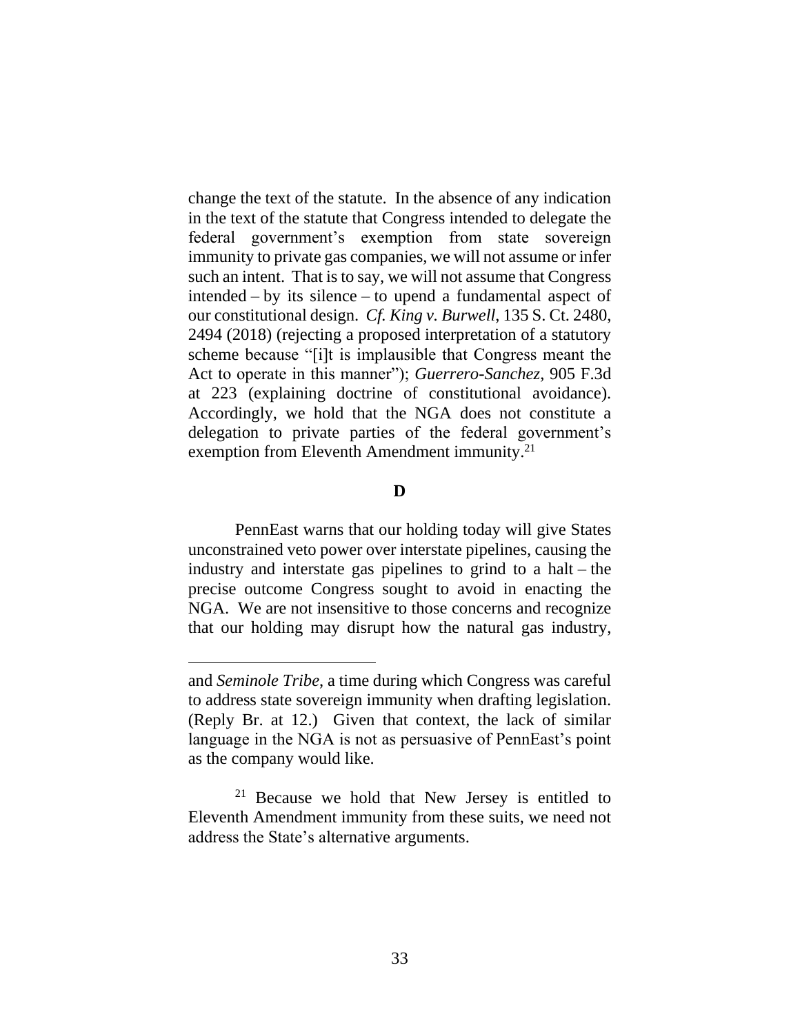change the text of the statute. In the absence of any indication in the text of the statute that Congress intended to delegate the federal government's exemption from state sovereign immunity to private gas companies, we will not assume or infer such an intent. That is to say, we will not assume that Congress intended – by its silence – to upend a fundamental aspect of our constitutional design. *Cf. King v. Burwell*, 135 S. Ct. 2480, 2494 (2018) (rejecting a proposed interpretation of a statutory scheme because "[i]t is implausible that Congress meant the Act to operate in this manner"); *Guerrero-Sanchez*, 905 F.3d at 223 (explaining doctrine of constitutional avoidance). Accordingly, we hold that the NGA does not constitute a delegation to private parties of the federal government's exemption from Eleventh Amendment immunity.<sup>21</sup>

## **D**

PennEast warns that our holding today will give States unconstrained veto power over interstate pipelines, causing the industry and interstate gas pipelines to grind to a halt – the precise outcome Congress sought to avoid in enacting the NGA. We are not insensitive to those concerns and recognize that our holding may disrupt how the natural gas industry,

and *Seminole Tribe*, a time during which Congress was careful to address state sovereign immunity when drafting legislation. (Reply Br. at 12.) Given that context, the lack of similar language in the NGA is not as persuasive of PennEast's point as the company would like.

 $21$  Because we hold that New Jersey is entitled to Eleventh Amendment immunity from these suits, we need not address the State's alternative arguments.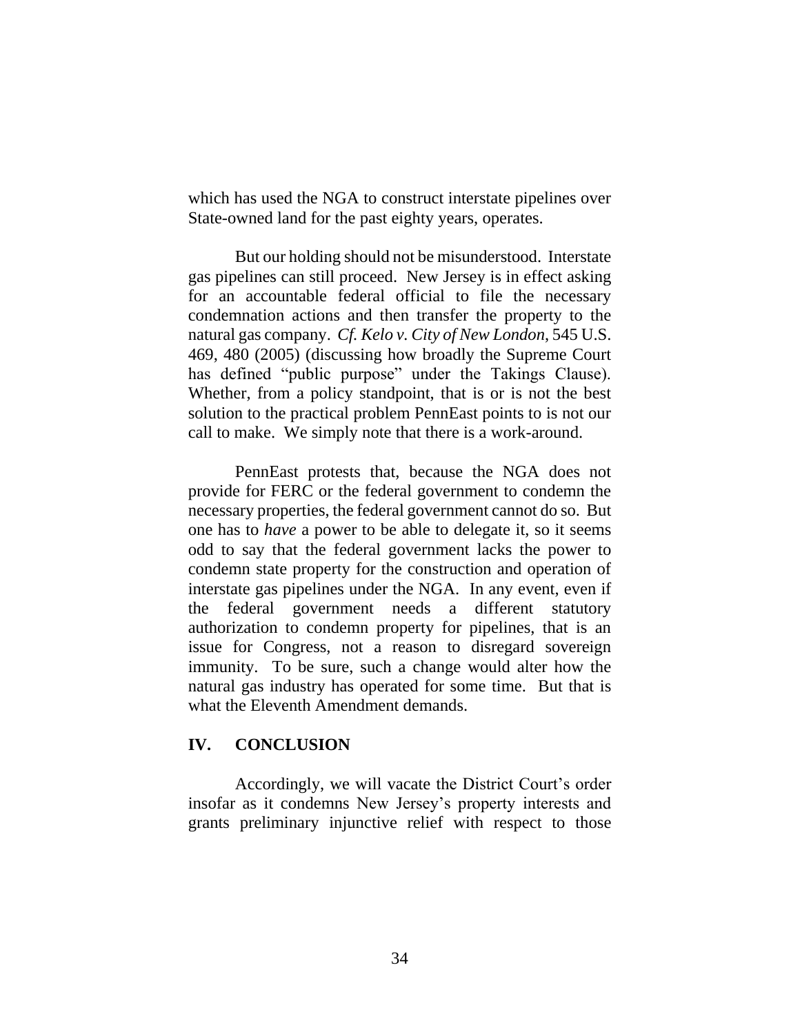which has used the NGA to construct interstate pipelines over State-owned land for the past eighty years, operates.

But our holding should not be misunderstood. Interstate gas pipelines can still proceed. New Jersey is in effect asking for an accountable federal official to file the necessary condemnation actions and then transfer the property to the natural gas company. *Cf. Kelo v. City of New London*, 545 U.S. 469, 480 (2005) (discussing how broadly the Supreme Court has defined "public purpose" under the Takings Clause). Whether, from a policy standpoint, that is or is not the best solution to the practical problem PennEast points to is not our call to make. We simply note that there is a work-around.

PennEast protests that, because the NGA does not provide for FERC or the federal government to condemn the necessary properties, the federal government cannot do so. But one has to *have* a power to be able to delegate it, so it seems odd to say that the federal government lacks the power to condemn state property for the construction and operation of interstate gas pipelines under the NGA. In any event, even if the federal government needs a different statutory authorization to condemn property for pipelines, that is an issue for Congress, not a reason to disregard sovereign immunity. To be sure, such a change would alter how the natural gas industry has operated for some time. But that is what the Eleventh Amendment demands.

#### **IV. CONCLUSION**

Accordingly, we will vacate the District Court's order insofar as it condemns New Jersey's property interests and grants preliminary injunctive relief with respect to those